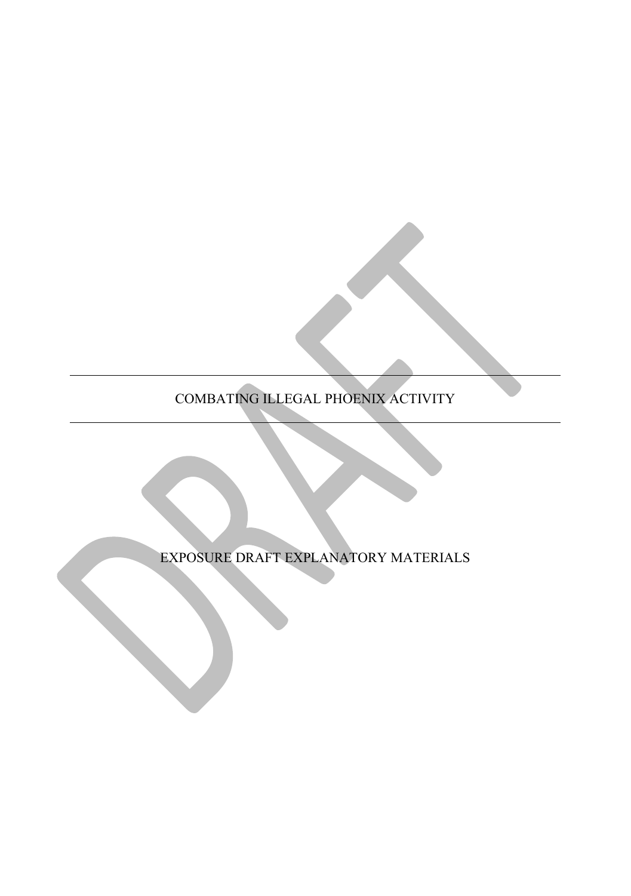COMBATING ILLEGAL PHOENIX ACTIVITY

EXPOSURE DRAFT EXPLANATORY MATERIALS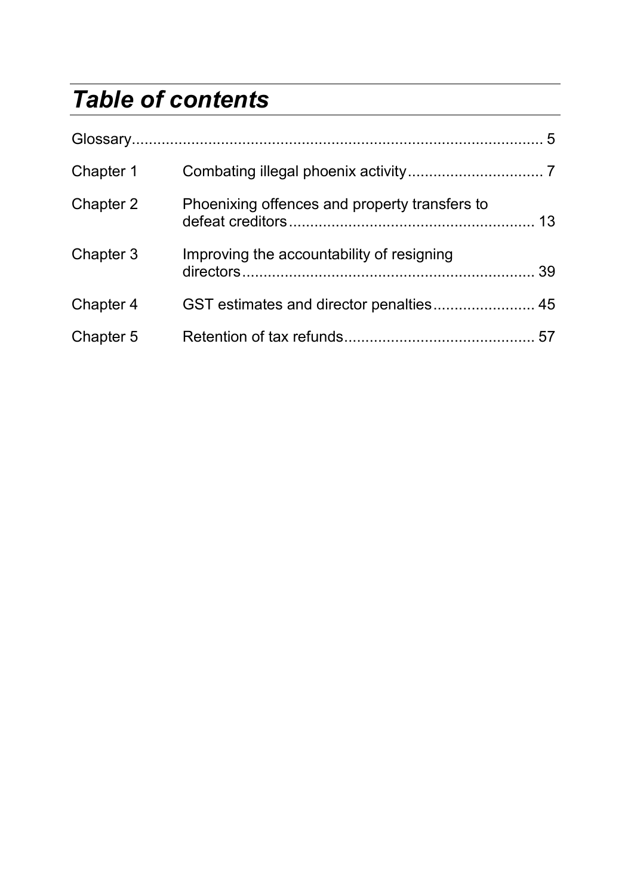# *Table of contents*

| Chapter 1 |                                               |  |
|-----------|-----------------------------------------------|--|
| Chapter 2 | Phoenixing offences and property transfers to |  |
| Chapter 3 | Improving the accountability of resigning     |  |
| Chapter 4 |                                               |  |
| Chapter 5 |                                               |  |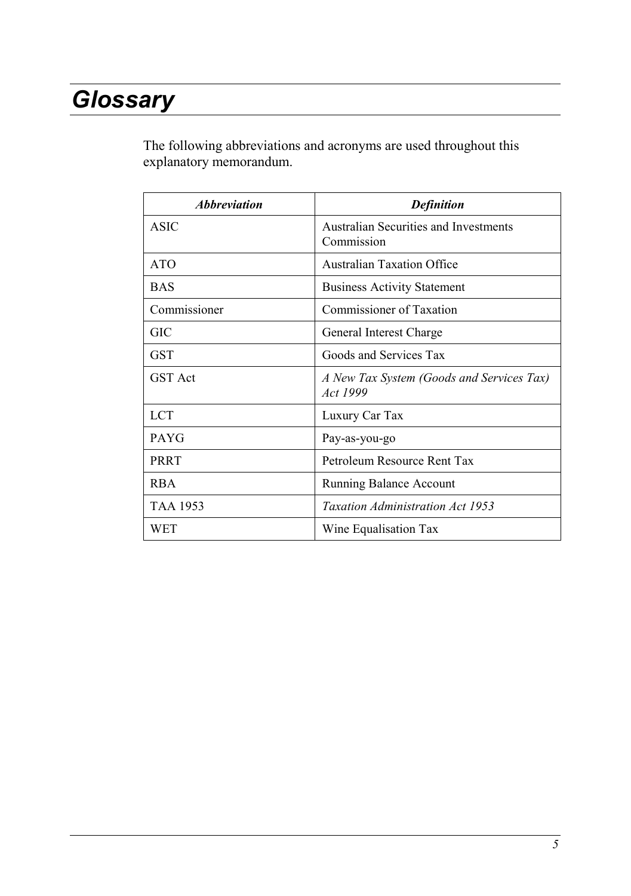# *Glossary*

The following abbreviations and acronyms are used throughout this explanatory memorandum.

| <i><b>Abbreviation</b></i> | <b>Definition</b>                                     |
|----------------------------|-------------------------------------------------------|
| <b>ASIC</b>                | Australian Securities and Investments<br>Commission   |
| <b>ATO</b>                 | <b>Australian Taxation Office</b>                     |
| <b>BAS</b>                 | <b>Business Activity Statement</b>                    |
| Commissioner               | Commissioner of Taxation                              |
| GIC                        | General Interest Charge                               |
| <b>GST</b>                 | Goods and Services Tax                                |
| <b>GST</b> Act             | A New Tax System (Goods and Services Tax)<br>Act 1999 |
| LCT                        | Luxury Car Tax                                        |
| <b>PAYG</b>                | Pay-as-you-go                                         |
| <b>PRRT</b>                | Petroleum Resource Rent Tax                           |
| RBA.                       | <b>Running Balance Account</b>                        |
| <b>TAA 1953</b>            | <b>Taxation Administration Act 1953</b>               |
| WET                        | Wine Equalisation Tax                                 |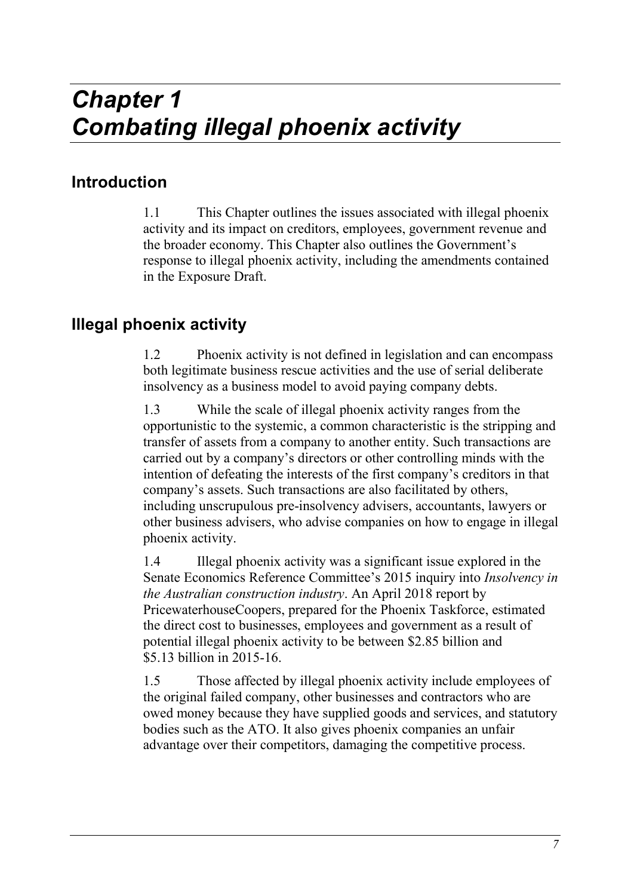# *Chapter 1 Combating illegal phoenix activity*

# **Introduction**

1.1 This Chapter outlines the issues associated with illegal phoenix activity and its impact on creditors, employees, government revenue and the broader economy. This Chapter also outlines the Government's response to illegal phoenix activity, including the amendments contained in the Exposure Draft.

## **Illegal phoenix activity**

1.2 Phoenix activity is not defined in legislation and can encompass both legitimate business rescue activities and the use of serial deliberate insolvency as a business model to avoid paying company debts.

1.3 While the scale of illegal phoenix activity ranges from the opportunistic to the systemic, a common characteristic is the stripping and transfer of assets from a company to another entity. Such transactions are carried out by a company's directors or other controlling minds with the intention of defeating the interests of the first company's creditors in that company's assets. Such transactions are also facilitated by others, including unscrupulous pre-insolvency advisers, accountants, lawyers or other business advisers, who advise companies on how to engage in illegal phoenix activity.

1.4 Illegal phoenix activity was a significant issue explored in the Senate Economics Reference Committee's 2015 inquiry into *Insolvency in the Australian construction industry*. An April 2018 report by PricewaterhouseCoopers, prepared for the Phoenix Taskforce, estimated the direct cost to businesses, employees and government as a result of potential illegal phoenix activity to be between \$2.85 billion and \$5.13 billion in 2015-16.

1.5 Those affected by illegal phoenix activity include employees of the original failed company, other businesses and contractors who are owed money because they have supplied goods and services, and statutory bodies such as the ATO. It also gives phoenix companies an unfair advantage over their competitors, damaging the competitive process.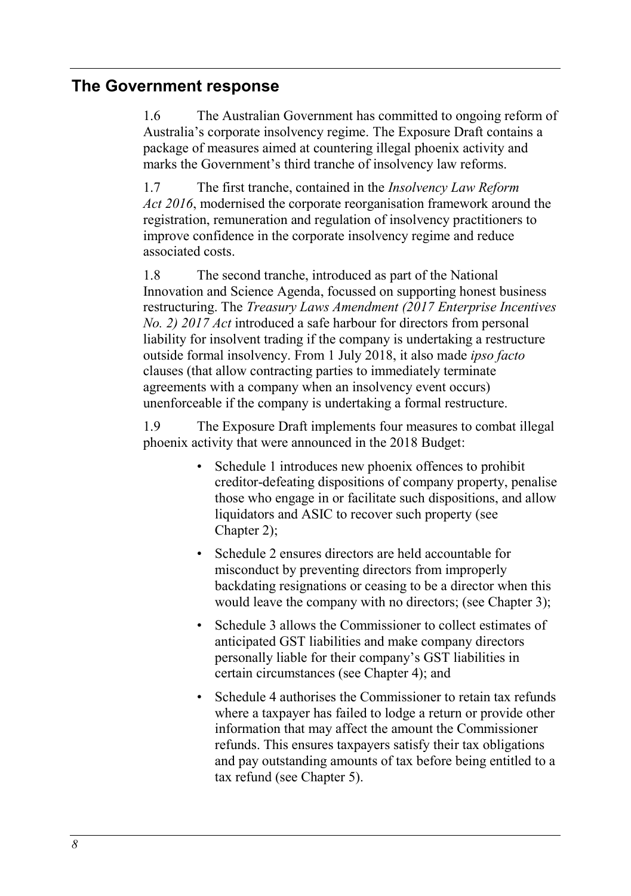### **The Government response**

1.6 The Australian Government has committed to ongoing reform of Australia's corporate insolvency regime. The Exposure Draft contains a package of measures aimed at countering illegal phoenix activity and marks the Government's third tranche of insolvency law reforms.

1.7 The first tranche, contained in the *Insolvency Law Reform Act 2016*, modernised the corporate reorganisation framework around the registration, remuneration and regulation of insolvency practitioners to improve confidence in the corporate insolvency regime and reduce associated costs.

1.8 The second tranche, introduced as part of the National Innovation and Science Agenda, focussed on supporting honest business restructuring. The *Treasury Laws Amendment (2017 Enterprise Incentives No. 2) 2017 Act* introduced a safe harbour for directors from personal liability for insolvent trading if the company is undertaking a restructure outside formal insolvency. From 1 July 2018, it also made *ipso facto* clauses (that allow contracting parties to immediately terminate agreements with a company when an insolvency event occurs) unenforceable if the company is undertaking a formal restructure.

1.9 The Exposure Draft implements four measures to combat illegal phoenix activity that were announced in the 2018 Budget:

- Schedule 1 introduces new phoenix offences to prohibit creditor-defeating dispositions of company property, penalise those who engage in or facilitate such dispositions, and allow liquidators and ASIC to recover such property (see Chapter 2);
- Schedule 2 ensures directors are held accountable for misconduct by preventing directors from improperly backdating resignations or ceasing to be a director when this would leave the company with no directors; (see Chapter 3);
- Schedule 3 allows the Commissioner to collect estimates of anticipated GST liabilities and make company directors personally liable for their company's GST liabilities in certain circumstances (see Chapter 4); and
- Schedule 4 authorises the Commissioner to retain tax refunds where a taxpayer has failed to lodge a return or provide other information that may affect the amount the Commissioner refunds. This ensures taxpayers satisfy their tax obligations and pay outstanding amounts of tax before being entitled to a tax refund (see Chapter 5).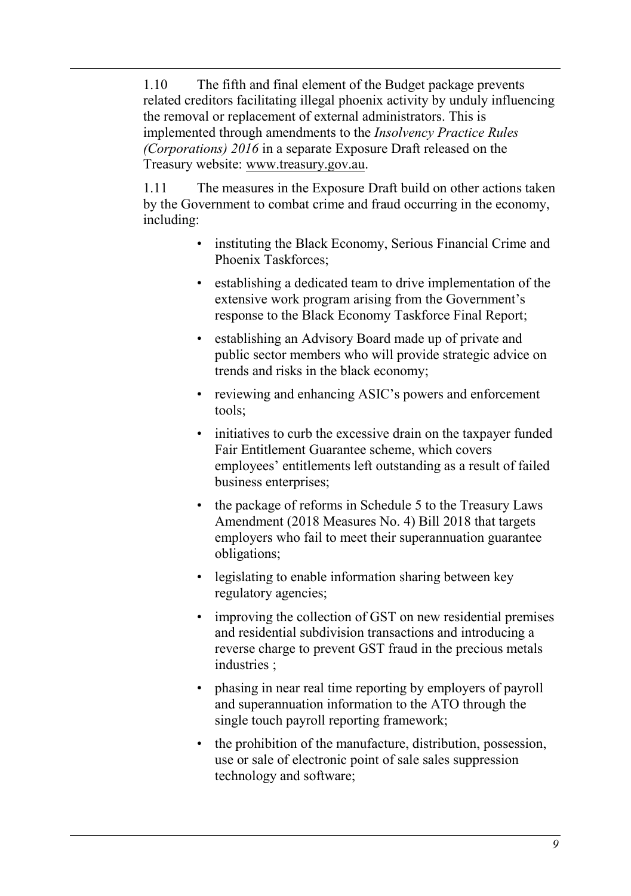1.10 The fifth and final element of the Budget package prevents related creditors facilitating illegal phoenix activity by unduly influencing the removal or replacement of external administrators. This is implemented through amendments to the *Insolvency Practice Rules (Corporations) 2016* in a separate Exposure Draft released on the Treasury website: [www.treasury.gov.au.](http://www.treasury.gov.au/)

1.11 The measures in the Exposure Draft build on other actions taken by the Government to combat crime and fraud occurring in the economy, including:

- instituting the Black Economy, Serious Financial Crime and Phoenix Taskforces;
- establishing a dedicated team to drive implementation of the extensive work program arising from the Government's response to the Black Economy Taskforce Final Report;
- establishing an Advisory Board made up of private and public sector members who will provide strategic advice on trends and risks in the black economy;
- reviewing and enhancing ASIC's powers and enforcement tools;
- initiatives to curb the excessive drain on the taxpayer funded Fair Entitlement Guarantee scheme, which covers employees' entitlements left outstanding as a result of failed business enterprises;
- the package of reforms in Schedule 5 to the Treasury Laws Amendment (2018 Measures No. 4) Bill 2018 that targets employers who fail to meet their superannuation guarantee obligations;
- legislating to enable information sharing between key regulatory agencies;
- improving the collection of GST on new residential premises and residential subdivision transactions and introducing a reverse charge to prevent GST fraud in the precious metals industries ;
- phasing in near real time reporting by employers of payroll and superannuation information to the ATO through the single touch payroll reporting framework;
- the prohibition of the manufacture, distribution, possession, use or sale of electronic point of sale sales suppression technology and software;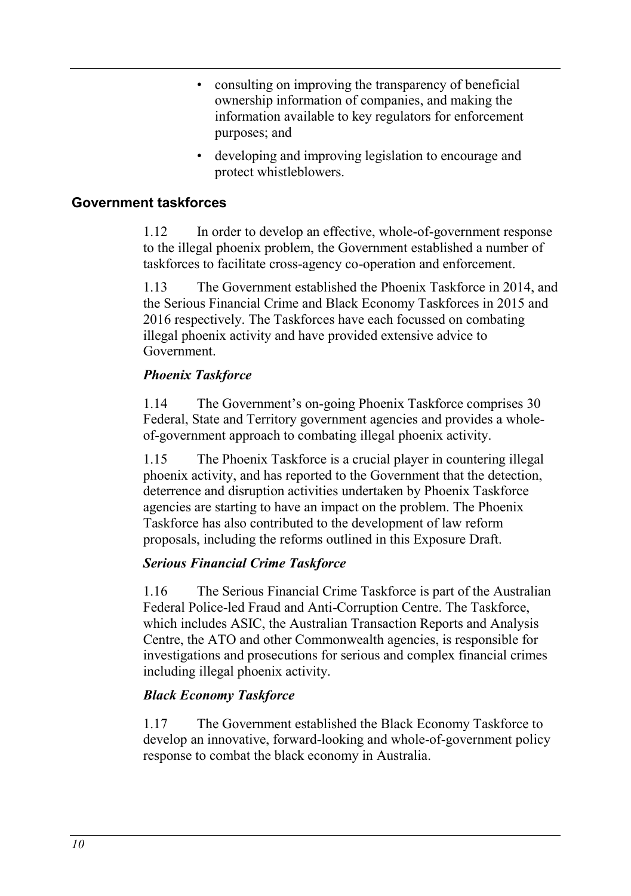- consulting on improving the transparency of beneficial ownership information of companies, and making the information available to key regulators for enforcement purposes; and
- developing and improving legislation to encourage and protect whistleblowers.

### **Government taskforces**

1.12 In order to develop an effective, whole-of-government response to the illegal phoenix problem, the Government established a number of taskforces to facilitate cross-agency co-operation and enforcement.

1.13 The Government established the Phoenix Taskforce in 2014, and the Serious Financial Crime and Black Economy Taskforces in 2015 and 2016 respectively. The Taskforces have each focussed on combating illegal phoenix activity and have provided extensive advice to Government.

### *Phoenix Taskforce*

1.14 The Government's on-going Phoenix Taskforce comprises 30 Federal, State and Territory government agencies and provides a wholeof-government approach to combating illegal phoenix activity.

1.15 The Phoenix Taskforce is a crucial player in countering illegal phoenix activity, and has reported to the Government that the detection, deterrence and disruption activities undertaken by Phoenix Taskforce agencies are starting to have an impact on the problem. The Phoenix Taskforce has also contributed to the development of law reform proposals, including the reforms outlined in this Exposure Draft.

### *Serious Financial Crime Taskforce*

1.16 The Serious Financial Crime Taskforce is part of the Australian Federal Police-led Fraud and Anti-Corruption Centre. The Taskforce, which includes ASIC, the Australian Transaction Reports and Analysis Centre, the ATO and other Commonwealth agencies, is responsible for investigations and prosecutions for serious and complex financial crimes including illegal phoenix activity.

### *Black Economy Taskforce*

1.17 The Government established the Black Economy Taskforce to develop an innovative, forward-looking and whole-of-government policy response to combat the black economy in Australia.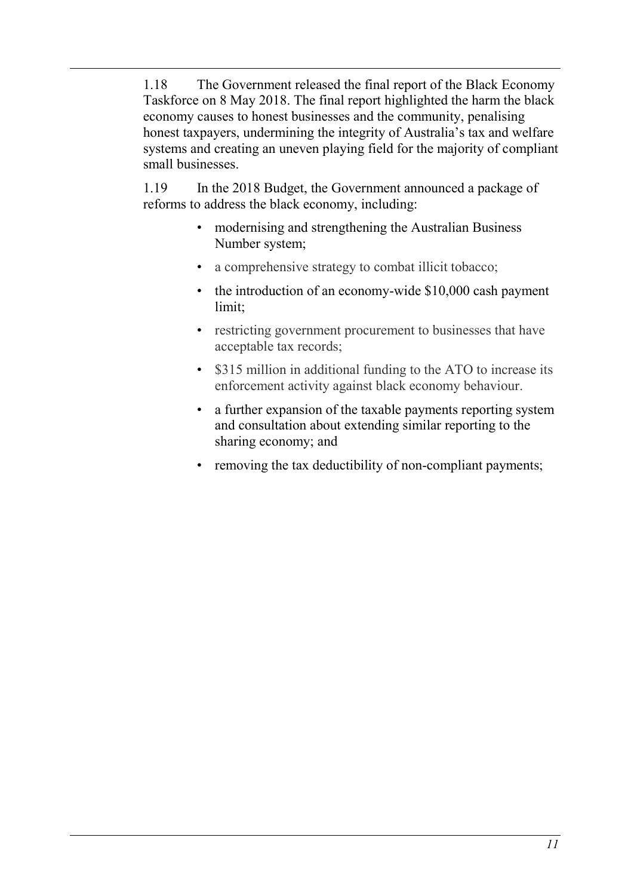1.18 The Government released the final report of the Black Economy Taskforce on 8 May 2018. The final report highlighted the harm the black economy causes to honest businesses and the community, penalising honest taxpayers, undermining the integrity of Australia's tax and welfare systems and creating an uneven playing field for the majority of compliant small businesses.

1.19 In the 2018 Budget, the Government announced a package of reforms to address the black economy, including:

- modernising and strengthening the Australian Business Number system;
- a comprehensive strategy to combat illicit tobacco;
- the introduction of an economy-wide \$10,000 cash payment limit;
- restricting government procurement to businesses that have acceptable tax records;
- \$315 million in additional funding to the ATO to increase its enforcement activity against black economy behaviour.
- a further expansion of the taxable payments reporting system and consultation about extending similar reporting to the sharing economy; and
- removing the tax deductibility of non-compliant payments;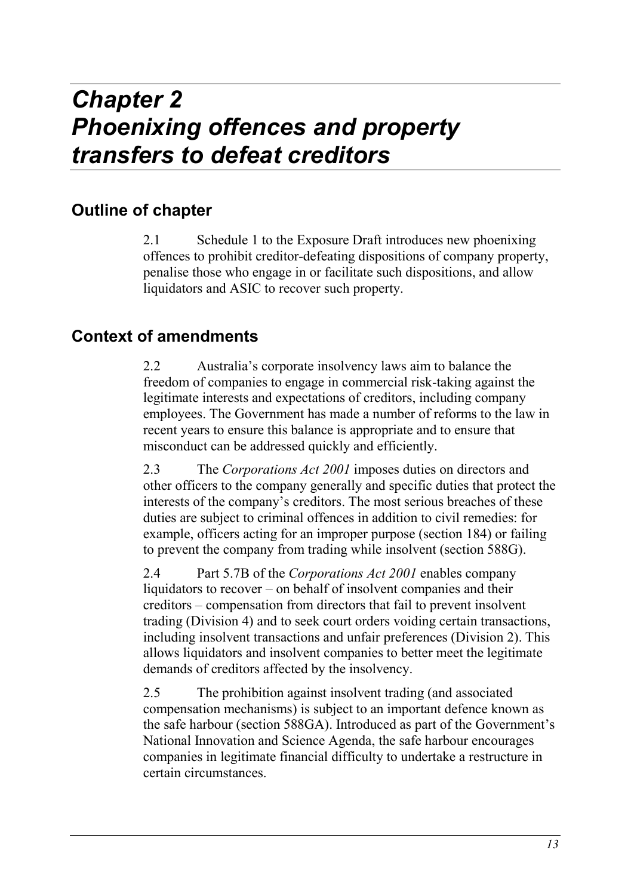# *Chapter 2 Phoenixing offences and property transfers to defeat creditors*

# **Outline of chapter**

2.1 Schedule 1 to the Exposure Draft introduces new phoenixing offences to prohibit creditor-defeating dispositions of company property, penalise those who engage in or facilitate such dispositions, and allow liquidators and ASIC to recover such property.

# **Context of amendments**

2.2 Australia's corporate insolvency laws aim to balance the freedom of companies to engage in commercial risk-taking against the legitimate interests and expectations of creditors, including company employees. The Government has made a number of reforms to the law in recent years to ensure this balance is appropriate and to ensure that misconduct can be addressed quickly and efficiently.

2.3 The *Corporations Act 2001* imposes duties on directors and other officers to the company generally and specific duties that protect the interests of the company's creditors. The most serious breaches of these duties are subject to criminal offences in addition to civil remedies: for example, officers acting for an improper purpose (section 184) or failing to prevent the company from trading while insolvent (section 588G).

2.4 Part 5.7B of the *Corporations Act 2001* enables company liquidators to recover – on behalf of insolvent companies and their creditors – compensation from directors that fail to prevent insolvent trading (Division 4) and to seek court orders voiding certain transactions, including insolvent transactions and unfair preferences (Division 2). This allows liquidators and insolvent companies to better meet the legitimate demands of creditors affected by the insolvency.

2.5 The prohibition against insolvent trading (and associated compensation mechanisms) is subject to an important defence known as the safe harbour (section 588GA). Introduced as part of the Government's National Innovation and Science Agenda, the safe harbour encourages companies in legitimate financial difficulty to undertake a restructure in certain circumstances.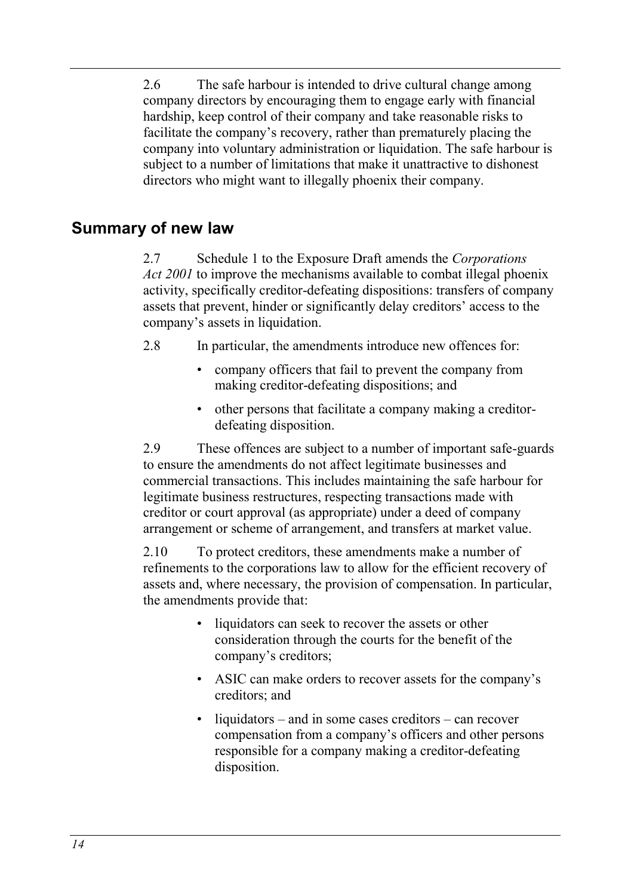2.6 The safe harbour is intended to drive cultural change among company directors by encouraging them to engage early with financial hardship, keep control of their company and take reasonable risks to facilitate the company's recovery, rather than prematurely placing the company into voluntary administration or liquidation. The safe harbour is subject to a number of limitations that make it unattractive to dishonest directors who might want to illegally phoenix their company.

## **Summary of new law**

2.7 Schedule 1 to the Exposure Draft amends the *Corporations Act 2001* to improve the mechanisms available to combat illegal phoenix activity, specifically creditor-defeating dispositions: transfers of company assets that prevent, hinder or significantly delay creditors' access to the company's assets in liquidation.

- 2.8 In particular, the amendments introduce new offences for:
	- company officers that fail to prevent the company from making creditor-defeating dispositions; and
	- other persons that facilitate a company making a creditordefeating disposition.

2.9 These offences are subject to a number of important safe-guards to ensure the amendments do not affect legitimate businesses and commercial transactions. This includes maintaining the safe harbour for legitimate business restructures, respecting transactions made with creditor or court approval (as appropriate) under a deed of company arrangement or scheme of arrangement, and transfers at market value.

2.10 To protect creditors, these amendments make a number of refinements to the corporations law to allow for the efficient recovery of assets and, where necessary, the provision of compensation. In particular, the amendments provide that:

- liquidators can seek to recover the assets or other consideration through the courts for the benefit of the company's creditors;
- ASIC can make orders to recover assets for the company's creditors; and
- liquidators and in some cases creditors can recover compensation from a company's officers and other persons responsible for a company making a creditor-defeating disposition.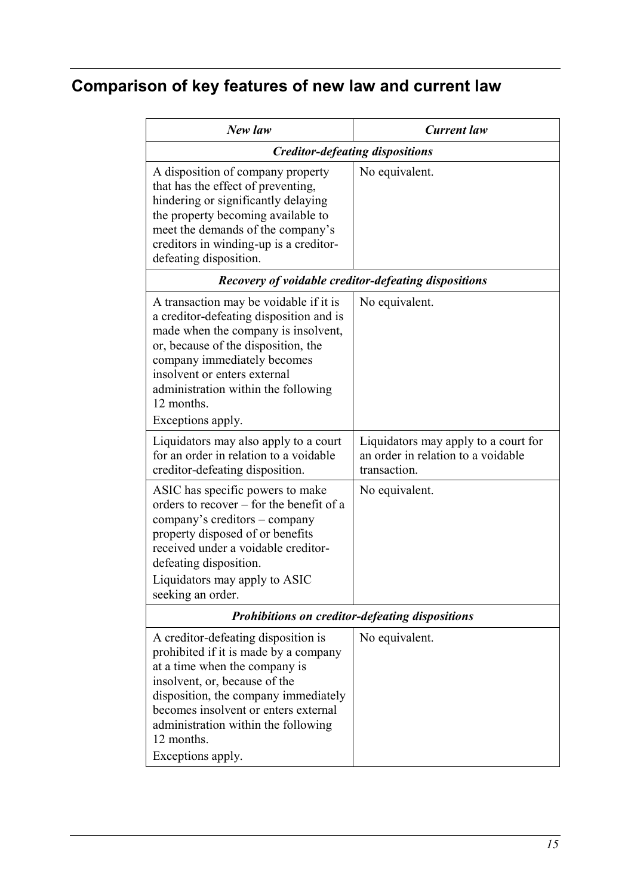# **Comparison of key features of new law and current law**

| New law                                                                                                                                                                                                                                                                                                  | <b>Current</b> law                                 |
|----------------------------------------------------------------------------------------------------------------------------------------------------------------------------------------------------------------------------------------------------------------------------------------------------------|----------------------------------------------------|
|                                                                                                                                                                                                                                                                                                          | <b>Creditor-defeating dispositions</b>             |
| A disposition of company property<br>that has the effect of preventing,<br>hindering or significantly delaying<br>the property becoming available to<br>meet the demands of the company's<br>creditors in winding-up is a creditor-<br>defeating disposition.                                            | No equivalent.                                     |
| Recovery of voidable creditor-defeating dispositions                                                                                                                                                                                                                                                     |                                                    |
| A transaction may be voidable if it is<br>a creditor-defeating disposition and is<br>made when the company is insolvent,<br>or, because of the disposition, the<br>company immediately becomes<br>insolvent or enters external<br>administration within the following<br>12 months.<br>Exceptions apply. | No equivalent.                                     |
| Liquidators may also apply to a court                                                                                                                                                                                                                                                                    | Liquidators may apply to a court for               |
| for an order in relation to a voidable<br>creditor-defeating disposition.                                                                                                                                                                                                                                | an order in relation to a voidable<br>transaction. |
| ASIC has specific powers to make<br>orders to recover - for the benefit of a<br>company's creditors - company<br>property disposed of or benefits<br>received under a voidable creditor-<br>defeating disposition.<br>Liquidators may apply to ASIC<br>seeking an order.                                 | No equivalent.                                     |
| Prohibitions on creditor-defeating dispositions                                                                                                                                                                                                                                                          |                                                    |
| A creditor-defeating disposition is<br>prohibited if it is made by a company<br>at a time when the company is<br>insolvent, or, because of the<br>disposition, the company immediately<br>becomes insolvent or enters external<br>administration within the following<br>12 months.<br>Exceptions apply. | No equivalent.                                     |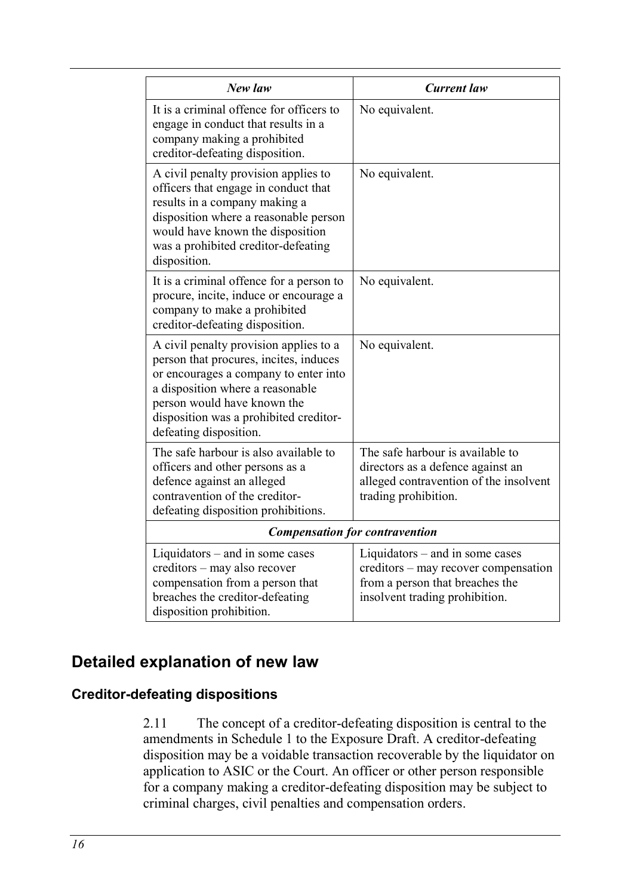| New law                                                                                                                                                                                                                                                          | <b>Current</b> law                                                                                                                             |
|------------------------------------------------------------------------------------------------------------------------------------------------------------------------------------------------------------------------------------------------------------------|------------------------------------------------------------------------------------------------------------------------------------------------|
| It is a criminal offence for officers to<br>engage in conduct that results in a<br>company making a prohibited<br>creditor-defeating disposition.                                                                                                                | No equivalent.                                                                                                                                 |
| A civil penalty provision applies to<br>officers that engage in conduct that<br>results in a company making a<br>disposition where a reasonable person<br>would have known the disposition<br>was a prohibited creditor-defeating<br>disposition.                | No equivalent.                                                                                                                                 |
| It is a criminal offence for a person to<br>procure, incite, induce or encourage a<br>company to make a prohibited<br>creditor-defeating disposition.                                                                                                            | No equivalent.                                                                                                                                 |
| A civil penalty provision applies to a<br>person that procures, incites, induces<br>or encourages a company to enter into<br>a disposition where a reasonable<br>person would have known the<br>disposition was a prohibited creditor-<br>defeating disposition. | No equivalent.                                                                                                                                 |
| The safe harbour is also available to<br>officers and other persons as a<br>defence against an alleged<br>contravention of the creditor-<br>defeating disposition prohibitions.                                                                                  | The safe harbour is available to<br>directors as a defence against an<br>alleged contravention of the insolvent<br>trading prohibition.        |
|                                                                                                                                                                                                                                                                  | <b>Compensation for contravention</b>                                                                                                          |
| Liquidators $-$ and in some cases<br>creditors - may also recover<br>compensation from a person that<br>breaches the creditor-defeating<br>disposition prohibition.                                                                                              | Liquidators $-$ and in some cases<br>creditors – may recover compensation<br>from a person that breaches the<br>insolvent trading prohibition. |

# **Detailed explanation of new law**

### <span id="page-15-0"></span>**Creditor-defeating dispositions**

2.11 The concept of a creditor-defeating disposition is central to the amendments in Schedule 1 to the Exposure Draft. A creditor-defeating disposition may be a voidable transaction recoverable by the liquidator on application to ASIC or the Court. An officer or other person responsible for a company making a creditor-defeating disposition may be subject to criminal charges, civil penalties and compensation orders.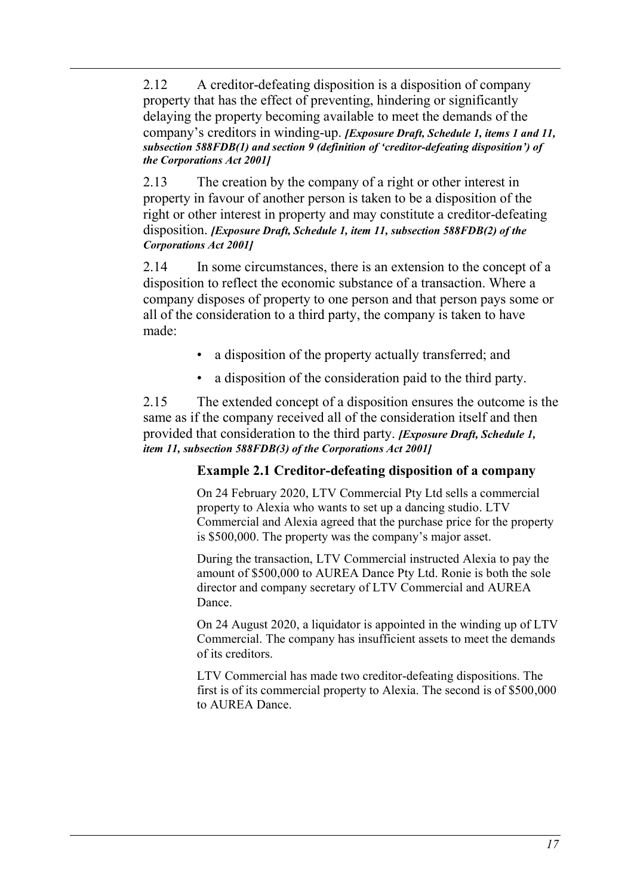2.12 A creditor-defeating disposition is a disposition of company property that has the effect of preventing, hindering or significantly delaying the property becoming available to meet the demands of the company's creditors in winding-up. *[Exposure Draft, Schedule 1, items 1 and 11, subsection 588FDB(1) and section 9 (definition of 'creditor-defeating disposition') of the Corporations Act 2001]*

2.13 The creation by the company of a right or other interest in property in favour of another person is taken to be a disposition of the right or other interest in property and may constitute a creditor-defeating disposition. *[Exposure Draft, Schedule 1, item 11, subsection 588FDB(2) of the Corporations Act 2001]*

2.14 In some circumstances, there is an extension to the concept of a disposition to reflect the economic substance of a transaction. Where a company disposes of property to one person and that person pays some or all of the consideration to a third party, the company is taken to have made:

- a disposition of the property actually transferred; and
- a disposition of the consideration paid to the third party.

<span id="page-16-0"></span>2.15 The extended concept of a disposition ensures the outcome is the same as if the company received all of the consideration itself and then provided that consideration to the third party. *[Exposure Draft, Schedule 1, item 11, subsection 588FDB(3) of the Corporations Act 2001]*

### **Example 2.1 Creditor-defeating disposition of a company**

On 24 February 2020, LTV Commercial Pty Ltd sells a commercial property to Alexia who wants to set up a dancing studio. LTV Commercial and Alexia agreed that the purchase price for the property is \$500,000. The property was the company's major asset.

During the transaction, LTV Commercial instructed Alexia to pay the amount of \$500,000 to AUREA Dance Pty Ltd. Ronie is both the sole director and company secretary of LTV Commercial and AUREA Dance.

On 24 August 2020, a liquidator is appointed in the winding up of LTV Commercial. The company has insufficient assets to meet the demands of its creditors.

LTV Commercial has made two creditor-defeating dispositions. The first is of its commercial property to Alexia. The second is of \$500,000 to AUREA Dance.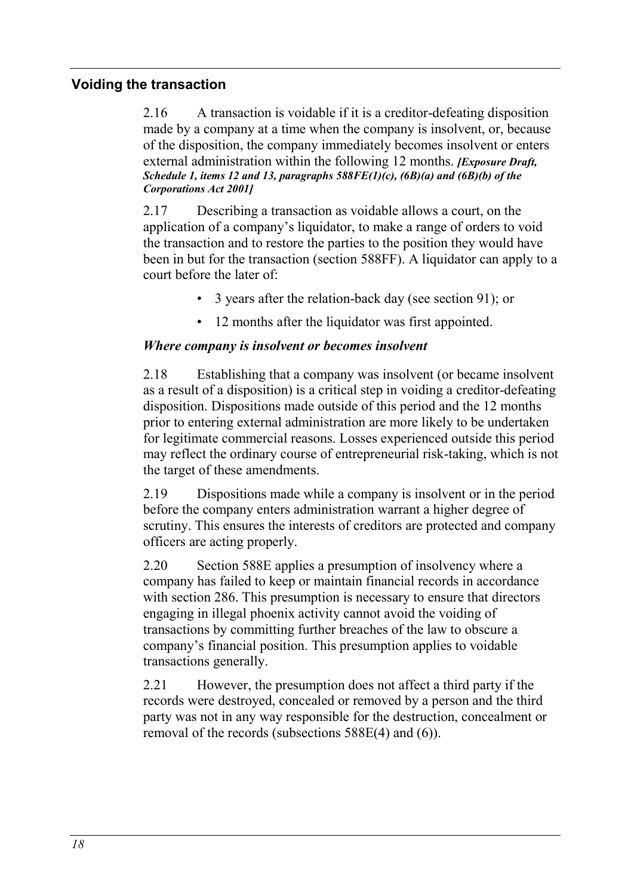### <span id="page-17-0"></span>**Voiding the transaction**

2.16 A transaction is voidable if it is a creditor-defeating disposition made by a company at a time when the company is insolvent, or, because of the disposition, the company immediately becomes insolvent or enters external administration within the following 12 months. *[Exposure Draft, Schedule 1, items 12 and 13, paragraphs 588FE(1)(c), (6B)(a) and (6B)(b) of the Corporations Act 2001]*

2.17 Describing a transaction as voidable allows a court, on the application of a company's liquidator, to make a range of orders to void the transaction and to restore the parties to the position they would have been in but for the transaction (section 588FF). A liquidator can apply to a court before the later of:

- 3 years after the relation-back day (see section 91); or
- 12 months after the liquidator was first appointed.

#### *Where company is insolvent or becomes insolvent*

2.18 Establishing that a company was insolvent (or became insolvent as a result of a disposition) is a critical step in voiding a creditor-defeating disposition. Dispositions made outside of this period and the 12 months prior to entering external administration are more likely to be undertaken for legitimate commercial reasons. Losses experienced outside this period may reflect the ordinary course of entrepreneurial risk-taking, which is not the target of these amendments.

2.19 Dispositions made while a company is insolvent or in the period before the company enters administration warrant a higher degree of scrutiny. This ensures the interests of creditors are protected and company officers are acting properly.

2.20 Section 588E applies a presumption of insolvency where a company has failed to keep or maintain financial records in accordance with section 286. This presumption is necessary to ensure that directors engaging in illegal phoenix activity cannot avoid the voiding of transactions by committing further breaches of the law to obscure a company's financial position. This presumption applies to voidable transactions generally.

2.21 However, the presumption does not affect a third party if the records were destroyed, concealed or removed by a person and the third party was not in any way responsible for the destruction, concealment or removal of the records (subsections 588E(4) and (6)).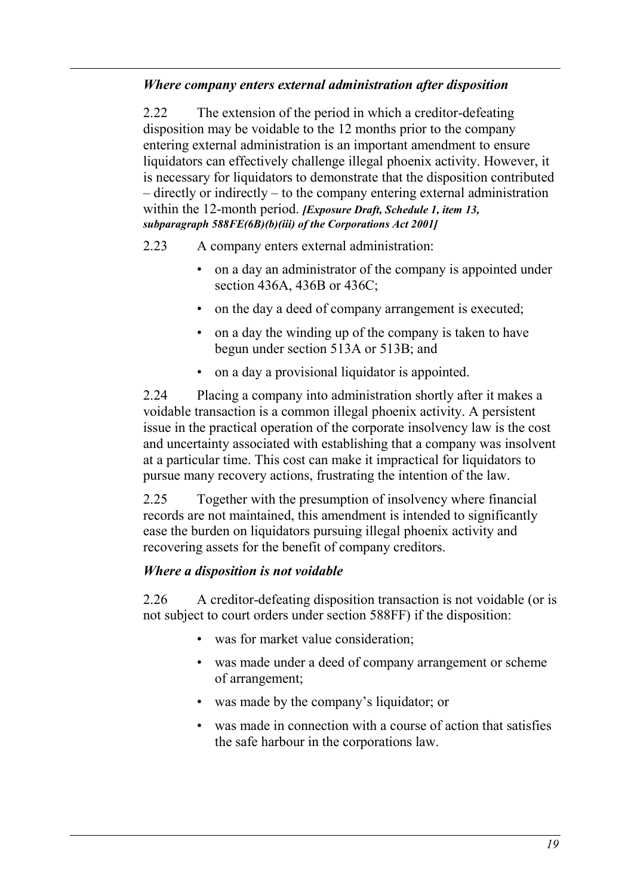### *Where company enters external administration after disposition*

2.22 The extension of the period in which a creditor-defeating disposition may be voidable to the 12 months prior to the company entering external administration is an important amendment to ensure liquidators can effectively challenge illegal phoenix activity. However, it is necessary for liquidators to demonstrate that the disposition contributed – directly or indirectly – to the company entering external administration within the 12-month period. *[Exposure Draft, Schedule 1, item 13, subparagraph 588FE(6B)(b)(iii) of the Corporations Act 2001]*

- 2.23 A company enters external administration:
	- on a day an administrator of the company is appointed under section 436A, 436B or 436C;
	- on the day a deed of company arrangement is executed;
	- on a day the winding up of the company is taken to have begun under section 513A or 513B; and
	- on a day a provisional liquidator is appointed.

2.24 Placing a company into administration shortly after it makes a voidable transaction is a common illegal phoenix activity. A persistent issue in the practical operation of the corporate insolvency law is the cost and uncertainty associated with establishing that a company was insolvent at a particular time. This cost can make it impractical for liquidators to pursue many recovery actions, frustrating the intention of the law.

2.25 Together with the presumption of insolvency where financial records are not maintained, this amendment is intended to significantly ease the burden on liquidators pursuing illegal phoenix activity and recovering assets for the benefit of company creditors.

### *Where a disposition is not voidable*

2.26 A creditor-defeating disposition transaction is not voidable (or is not subject to court orders under section 588FF) if the disposition:

- was for market value consideration;
- was made under a deed of company arrangement or scheme of arrangement;
- was made by the company's liquidator; or
- was made in connection with a course of action that satisfies the safe harbour in the corporations law.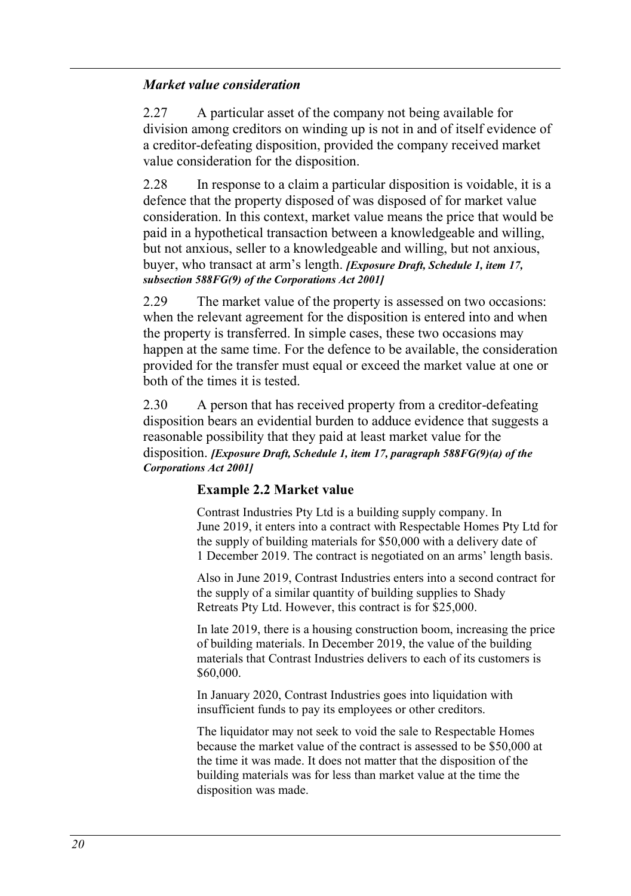#### *Market value consideration*

<span id="page-19-1"></span>2.27 A particular asset of the company not being available for division among creditors on winding up is not in and of itself evidence of a creditor-defeating disposition, provided the company received market value consideration for the disposition.

2.28 In response to a claim a particular disposition is voidable, it is a defence that the property disposed of was disposed of for market value consideration. In this context, market value means the price that would be paid in a hypothetical transaction between a knowledgeable and willing, but not anxious, seller to a knowledgeable and willing, but not anxious, buyer, who transact at arm's length. *[Exposure Draft, Schedule 1, item 17, subsection 588FG(9) of the Corporations Act 2001]*

<span id="page-19-2"></span>2.29 The market value of the property is assessed on two occasions: when the relevant agreement for the disposition is entered into and when the property is transferred. In simple cases, these two occasions may happen at the same time. For the defence to be available, the consideration provided for the transfer must equal or exceed the market value at one or both of the times it is tested.

<span id="page-19-0"></span>2.30 A person that has received property from a creditor-defeating disposition bears an evidential burden to adduce evidence that suggests a reasonable possibility that they paid at least market value for the disposition. *[Exposure Draft, Schedule 1, item 17, paragraph 588FG(9)(a) of the Corporations Act 2001]*

### **Example 2.2 Market value**

Contrast Industries Pty Ltd is a building supply company. In June 2019, it enters into a contract with Respectable Homes Pty Ltd for the supply of building materials for \$50,000 with a delivery date of 1 December 2019. The contract is negotiated on an arms' length basis.

Also in June 2019, Contrast Industries enters into a second contract for the supply of a similar quantity of building supplies to Shady Retreats Pty Ltd. However, this contract is for \$25,000.

In late 2019, there is a housing construction boom, increasing the price of building materials. In December 2019, the value of the building materials that Contrast Industries delivers to each of its customers is \$60,000.

In January 2020, Contrast Industries goes into liquidation with insufficient funds to pay its employees or other creditors.

The liquidator may not seek to void the sale to Respectable Homes because the market value of the contract is assessed to be \$50,000 at the time it was made. It does not matter that the disposition of the building materials was for less than market value at the time the disposition was made.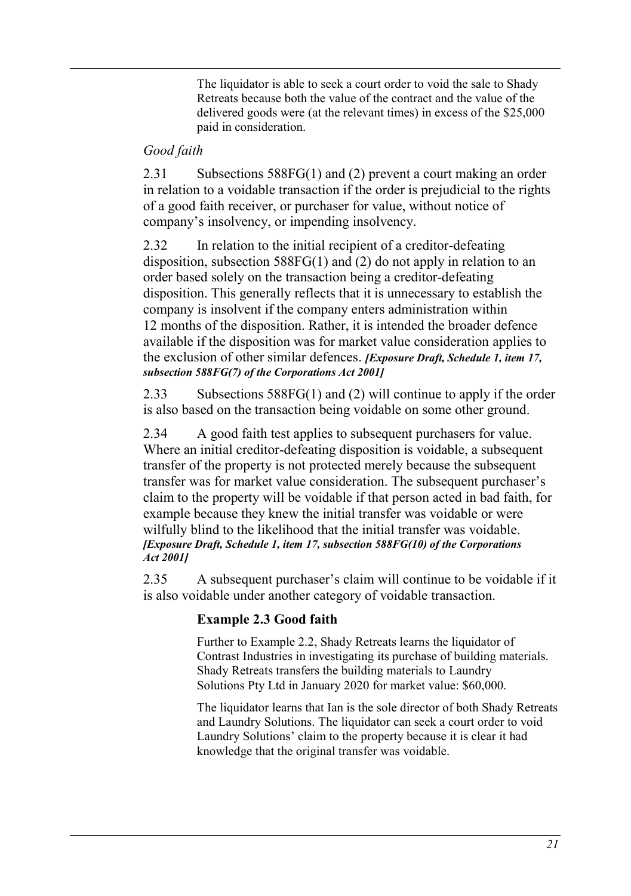The liquidator is able to seek a court order to void the sale to Shady Retreats because both the value of the contract and the value of the delivered goods were (at the relevant times) in excess of the \$25,000 paid in consideration.

### *Good faith*

2.31 Subsections 588FG(1) and (2) prevent a court making an order in relation to a voidable transaction if the order is prejudicial to the rights of a good faith receiver, or purchaser for value, without notice of company's insolvency, or impending insolvency.

2.32 In relation to the initial recipient of a creditor-defeating disposition, subsection 588FG(1) and (2) do not apply in relation to an order based solely on the transaction being a creditor-defeating disposition. This generally reflects that it is unnecessary to establish the company is insolvent if the company enters administration within 12 months of the disposition. Rather, it is intended the broader defence available if the disposition was for market value consideration applies to the exclusion of other similar defences. *[Exposure Draft, Schedule 1, item 17, subsection 588FG(7) of the Corporations Act 2001]* 

2.33 Subsections 588FG(1) and (2) will continue to apply if the order is also based on the transaction being voidable on some other ground.

2.34 A good faith test applies to subsequent purchasers for value. Where an initial creditor-defeating disposition is voidable, a subsequent transfer of the property is not protected merely because the subsequent transfer was for market value consideration. The subsequent purchaser's claim to the property will be voidable if that person acted in bad faith, for example because they knew the initial transfer was voidable or were wilfully blind to the likelihood that the initial transfer was voidable. *[Exposure Draft, Schedule 1, item 17, subsection 588FG(10) of the Corporations Act 2001]*

2.35 A subsequent purchaser's claim will continue to be voidable if it is also voidable under another category of voidable transaction.

### **Example 2.3 Good faith**

Further to [Example 2.2,](#page-19-0) Shady Retreats learns the liquidator of Contrast Industries in investigating its purchase of building materials. Shady Retreats transfers the building materials to Laundry Solutions Pty Ltd in January 2020 for market value: \$60,000.

The liquidator learns that Ian is the sole director of both Shady Retreats and Laundry Solutions. The liquidator can seek a court order to void Laundry Solutions' claim to the property because it is clear it had knowledge that the original transfer was voidable.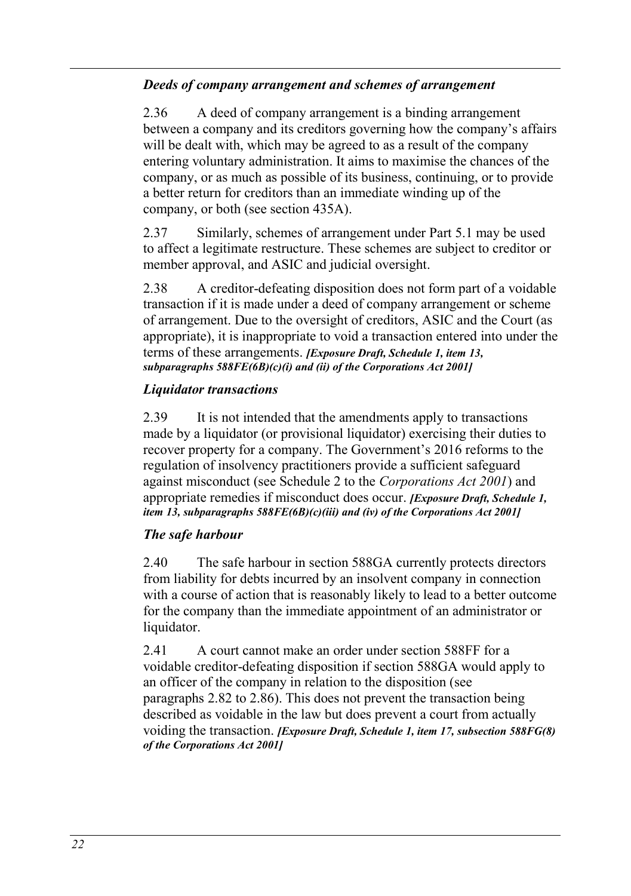### *Deeds of company arrangement and schemes of arrangement*

<span id="page-21-0"></span>2.36 A deed of company arrangement is a binding arrangement between a company and its creditors governing how the company's affairs will be dealt with, which may be agreed to as a result of the company entering voluntary administration. It aims to maximise the chances of the company, or as much as possible of its business, continuing, or to provide a better return for creditors than an immediate winding up of the company, or both (see section 435A).

2.37 Similarly, schemes of arrangement under Part 5.1 may be used to affect a legitimate restructure. These schemes are subject to creditor or member approval, and ASIC and judicial oversight.

<span id="page-21-1"></span>2.38 A creditor-defeating disposition does not form part of a voidable transaction if it is made under a deed of company arrangement or scheme of arrangement. Due to the oversight of creditors, ASIC and the Court (as appropriate), it is inappropriate to void a transaction entered into under the terms of these arrangements. *[Exposure Draft, Schedule 1, item 13, subparagraphs 588FE(6B)(c)(i) and (ii) of the Corporations Act 2001]*

### *Liquidator transactions*

<span id="page-21-2"></span>2.39 It is not intended that the amendments apply to transactions made by a liquidator (or provisional liquidator) exercising their duties to recover property for a company. The Government's 2016 reforms to the regulation of insolvency practitioners provide a sufficient safeguard against misconduct (see Schedule 2 to the *Corporations Act 2001*) and appropriate remedies if misconduct does occur. *[Exposure Draft, Schedule 1, item 13, subparagraphs 588FE(6B)(c)(iii) and (iv) of the Corporations Act 2001]*

### *The safe harbour*

2.40 The safe harbour in section 588GA currently protects directors from liability for debts incurred by an insolvent company in connection with a course of action that is reasonably likely to lead to a better outcome for the company than the immediate appointment of an administrator or liquidator.

2.41 A court cannot make an order under section 588FF for a voidable creditor-defeating disposition if section 588GA would apply to an officer of the company in relation to the disposition (see paragraphs [2.82](#page-31-0) t[o 2.86\)](#page-31-1). This does not prevent the transaction being described as voidable in the law but does prevent a court from actually voiding the transaction. *[Exposure Draft, Schedule 1, item 17, subsection 588FG(8) of the Corporations Act 2001]*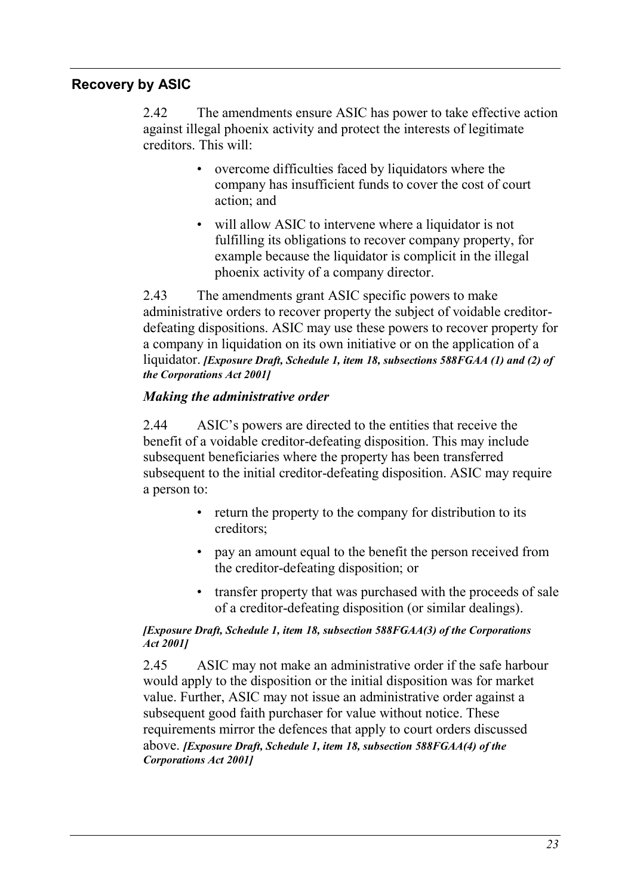### **Recovery by ASIC**

2.42 The amendments ensure ASIC has power to take effective action against illegal phoenix activity and protect the interests of legitimate creditors. This will:

- overcome difficulties faced by liquidators where the company has insufficient funds to cover the cost of court action; and
- will allow ASIC to intervene where a liquidator is not fulfilling its obligations to recover company property, for example because the liquidator is complicit in the illegal phoenix activity of a company director.

2.43 The amendments grant ASIC specific powers to make administrative orders to recover property the subject of voidable creditordefeating dispositions. ASIC may use these powers to recover property for a company in liquidation on its own initiative or on the application of a liquidator. *[Exposure Draft, Schedule 1, item 18, subsections 588FGAA (1) and (2) of the Corporations Act 2001]*

#### *Making the administrative order*

2.44 ASIC's powers are directed to the entities that receive the benefit of a voidable creditor-defeating disposition. This may include subsequent beneficiaries where the property has been transferred subsequent to the initial creditor-defeating disposition. ASIC may require a person to:

- return the property to the company for distribution to its creditors;
- pay an amount equal to the benefit the person received from the creditor-defeating disposition; or
- transfer property that was purchased with the proceeds of sale of a creditor-defeating disposition (or similar dealings).

#### *[Exposure Draft, Schedule 1, item 18, subsection 588FGAA(3) of the Corporations Act 2001]*

2.45 ASIC may not make an administrative order if the safe harbour would apply to the disposition or the initial disposition was for market value. Further, ASIC may not issue an administrative order against a subsequent good faith purchaser for value without notice. These requirements mirror the defences that apply to court orders discussed above. *[Exposure Draft, Schedule 1, item 18, subsection 588FGAA(4) of the Corporations Act 2001]*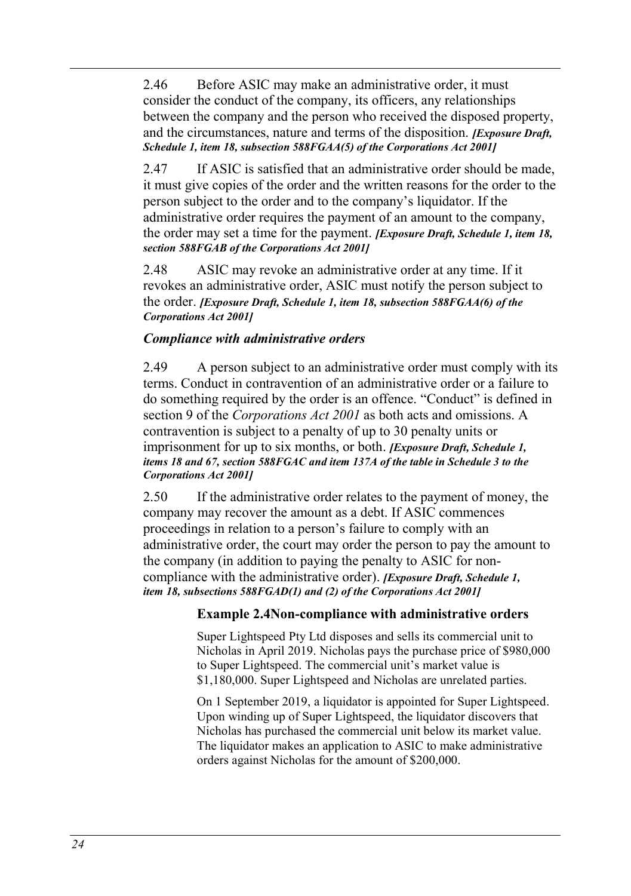2.46 Before ASIC may make an administrative order, it must consider the conduct of the company, its officers, any relationships between the company and the person who received the disposed property, and the circumstances, nature and terms of the disposition. *[Exposure Draft, Schedule 1, item 18, subsection 588FGAA(5) of the Corporations Act 2001]*

2.47 If ASIC is satisfied that an administrative order should be made, it must give copies of the order and the written reasons for the order to the person subject to the order and to the company's liquidator. If the administrative order requires the payment of an amount to the company, the order may set a time for the payment. *[Exposure Draft, Schedule 1, item 18, section 588FGAB of the Corporations Act 2001]*

2.48 ASIC may revoke an administrative order at any time. If it revokes an administrative order, ASIC must notify the person subject to the order. *[Exposure Draft, Schedule 1, item 18, subsection 588FGAA(6) of the Corporations Act 2001]*

#### *Compliance with administrative orders*

2.49 A person subject to an administrative order must comply with its terms. Conduct in contravention of an administrative order or a failure to do something required by the order is an offence. "Conduct" is defined in section 9 of the *Corporations Act 2001* as both acts and omissions. A contravention is subject to a penalty of up to 30 penalty units or imprisonment for up to six months, or both. *[Exposure Draft, Schedule 1, items 18 and 67, section 588FGAC and item 137A of the table in Schedule 3 to the Corporations Act 2001]*

2.50 If the administrative order relates to the payment of money, the company may recover the amount as a debt. If ASIC commences proceedings in relation to a person's failure to comply with an administrative order, the court may order the person to pay the amount to the company (in addition to paying the penalty to ASIC for noncompliance with the administrative order). *[Exposure Draft, Schedule 1, item 18, subsections 588FGAD(1) and (2) of the Corporations Act 2001]*

### **Example 2.4Non-compliance with administrative orders**

Super Lightspeed Pty Ltd disposes and sells its commercial unit to Nicholas in April 2019. Nicholas pays the purchase price of \$980,000 to Super Lightspeed. The commercial unit's market value is \$1,180,000. Super Lightspeed and Nicholas are unrelated parties.

On 1 September 2019, a liquidator is appointed for Super Lightspeed. Upon winding up of Super Lightspeed, the liquidator discovers that Nicholas has purchased the commercial unit below its market value. The liquidator makes an application to ASIC to make administrative orders against Nicholas for the amount of \$200,000.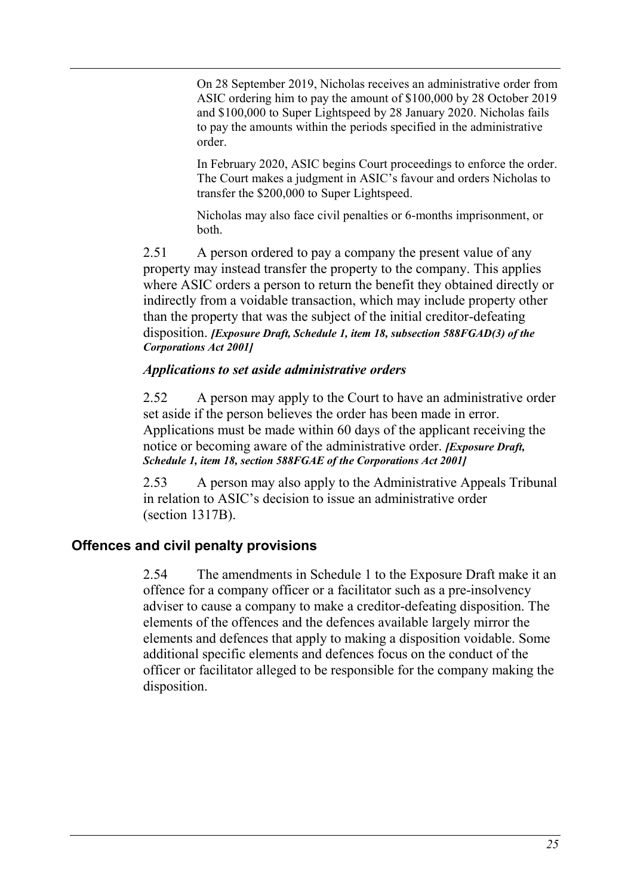On 28 September 2019, Nicholas receives an administrative order from ASIC ordering him to pay the amount of \$100,000 by 28 October 2019 and \$100,000 to Super Lightspeed by 28 January 2020. Nicholas fails to pay the amounts within the periods specified in the administrative order.

In February 2020, ASIC begins Court proceedings to enforce the order. The Court makes a judgment in ASIC's favour and orders Nicholas to transfer the \$200,000 to Super Lightspeed.

Nicholas may also face civil penalties or 6-months imprisonment, or both.

2.51 A person ordered to pay a company the present value of any property may instead transfer the property to the company. This applies where ASIC orders a person to return the benefit they obtained directly or indirectly from a voidable transaction, which may include property other than the property that was the subject of the initial creditor-defeating disposition. *[Exposure Draft, Schedule 1, item 18, subsection 588FGAD(3) of the Corporations Act 2001]*

### *Applications to set aside administrative orders*

2.52 A person may apply to the Court to have an administrative order set aside if the person believes the order has been made in error. Applications must be made within 60 days of the applicant receiving the notice or becoming aware of the administrative order. *[Exposure Draft, Schedule 1, item 18, section 588FGAE of the Corporations Act 2001]*

2.53 A person may also apply to the Administrative Appeals Tribunal in relation to ASIC's decision to issue an administrative order (section 1317B).

### **Offences and civil penalty provisions**

2.54 The amendments in Schedule 1 to the Exposure Draft make it an offence for a company officer or a facilitator such as a pre-insolvency adviser to cause a company to make a creditor-defeating disposition. The elements of the offences and the defences available largely mirror the elements and defences that apply to making a disposition voidable. Some additional specific elements and defences focus on the conduct of the officer or facilitator alleged to be responsible for the company making the disposition.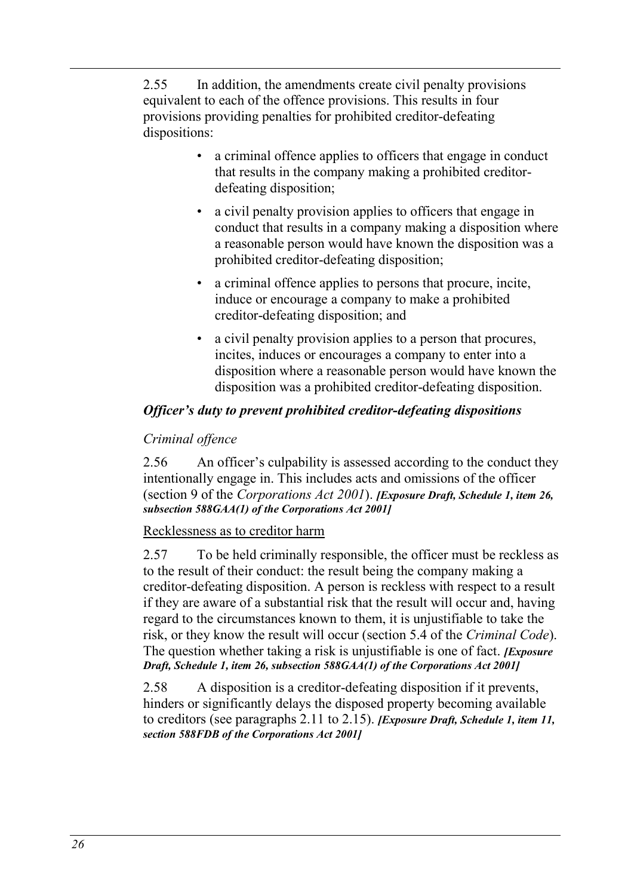2.55 In addition, the amendments create civil penalty provisions equivalent to each of the offence provisions. This results in four provisions providing penalties for prohibited creditor-defeating dispositions:

- a criminal offence applies to officers that engage in conduct that results in the company making a prohibited creditordefeating disposition;
- a civil penalty provision applies to officers that engage in conduct that results in a company making a disposition where a reasonable person would have known the disposition was a prohibited creditor-defeating disposition;
- a criminal offence applies to persons that procure, incite, induce or encourage a company to make a prohibited creditor-defeating disposition; and
- a civil penalty provision applies to a person that procures, incites, induces or encourages a company to enter into a disposition where a reasonable person would have known the disposition was a prohibited creditor-defeating disposition.

### *Officer's duty to prevent prohibited creditor-defeating dispositions*

### *Criminal offence*

2.56 An officer's culpability is assessed according to the conduct they intentionally engage in. This includes acts and omissions of the officer (section 9 of the *Corporations Act 2001*). *[Exposure Draft, Schedule 1, item 26, subsection 588GAA(1) of the Corporations Act 2001]*

### Recklessness as to creditor harm

<span id="page-25-0"></span>2.57 To be held criminally responsible, the officer must be reckless as to the result of their conduct: the result being the company making a creditor-defeating disposition. A person is reckless with respect to a result if they are aware of a substantial risk that the result will occur and, having regard to the circumstances known to them, it is unjustifiable to take the risk, or they know the result will occur (section 5.4 of the *Criminal Code*). The question whether taking a risk is unjustifiable is one of fact. *[Exposure Draft, Schedule 1, item 26, subsection 588GAA(1) of the Corporations Act 2001]*

2.58 A disposition is a creditor-defeating disposition if it prevents, hinders or significantly delays the disposed property becoming available to creditors (see paragraphs [2.11](#page-15-0) t[o 2.15\)](#page-16-0). *[Exposure Draft, Schedule 1, item 11, section 588FDB of the Corporations Act 2001]*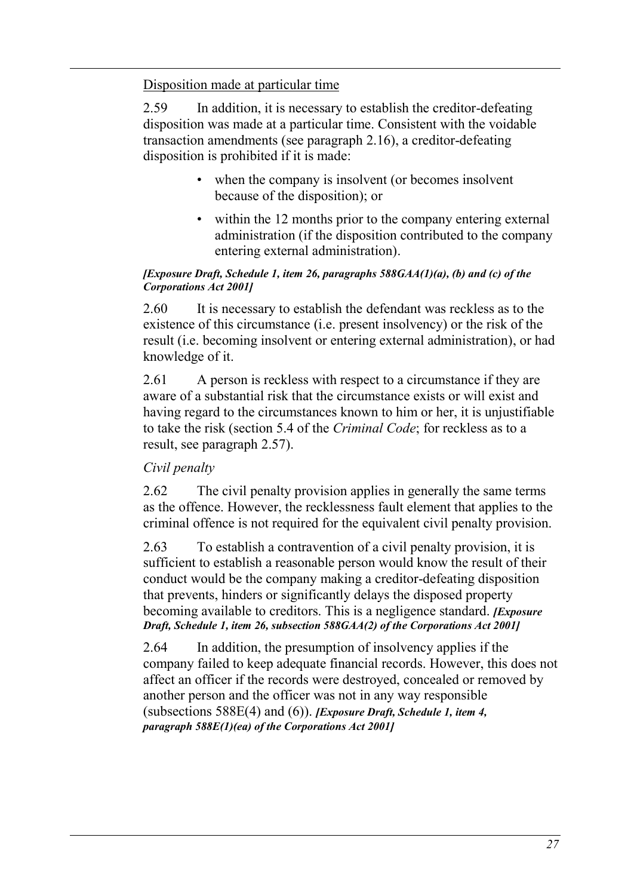Disposition made at particular time

2.59 In addition, it is necessary to establish the creditor-defeating disposition was made at a particular time. Consistent with the voidable transaction amendments (see paragraph [2.16\)](#page-17-0), a creditor-defeating disposition is prohibited if it is made:

- when the company is insolvent (or becomes insolvent because of the disposition); or
- within the 12 months prior to the company entering external administration (if the disposition contributed to the company entering external administration).

#### *[Exposure Draft, Schedule 1, item 26, paragraphs 588GAA(1)(a), (b) and (c) of the Corporations Act 2001]*

2.60 It is necessary to establish the defendant was reckless as to the existence of this circumstance (i.e. present insolvency) or the risk of the result (i.e. becoming insolvent or entering external administration), or had knowledge of it.

2.61 A person is reckless with respect to a circumstance if they are aware of a substantial risk that the circumstance exists or will exist and having regard to the circumstances known to him or her, it is unjustifiable to take the risk (section 5.4 of the *Criminal Code*; for reckless as to a result, see paragraph [2.57\)](#page-25-0).

### *Civil penalty*

2.62 The civil penalty provision applies in generally the same terms as the offence. However, the recklessness fault element that applies to the criminal offence is not required for the equivalent civil penalty provision.

2.63 To establish a contravention of a civil penalty provision, it is sufficient to establish a reasonable person would know the result of their conduct would be the company making a creditor-defeating disposition that prevents, hinders or significantly delays the disposed property becoming available to creditors. This is a negligence standard. *[Exposure Draft, Schedule 1, item 26, subsection 588GAA(2) of the Corporations Act 2001]*

2.64 In addition, the presumption of insolvency applies if the company failed to keep adequate financial records. However, this does not affect an officer if the records were destroyed, concealed or removed by another person and the officer was not in any way responsible (subsections 588E(4) and (6)). *[Exposure Draft, Schedule 1, item 4, paragraph 588E(1)(ea) of the Corporations Act 2001]*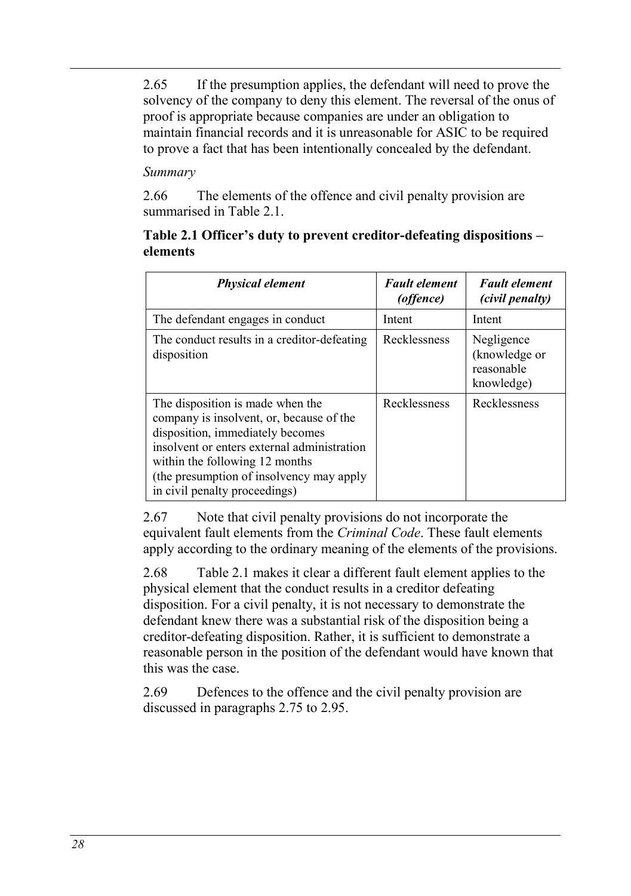2.65 If the presumption applies, the defendant will need to prove the solvency of the company to deny this element. The reversal of the onus of proof is appropriate because companies are under an obligation to maintain financial records and it is unreasonable for ASIC to be required to prove a fact that has been intentionally concealed by the defendant.

### *Summary*

2.66 The elements of the offence and civil penalty provision are summarised in [Table 2.1.](#page-27-0)

### <span id="page-27-0"></span>**Table 2.1 Officer's duty to prevent creditor-defeating dispositions – elements**

| <b>Physical element</b>                                                                                                                                                                                                                                                        | <b>Fault element</b><br>(offence) | <b>Fault element</b><br>(civil penalty)                 |
|--------------------------------------------------------------------------------------------------------------------------------------------------------------------------------------------------------------------------------------------------------------------------------|-----------------------------------|---------------------------------------------------------|
| The defendant engages in conduct                                                                                                                                                                                                                                               | Intent                            | Intent                                                  |
| The conduct results in a creditor-defeating<br>disposition                                                                                                                                                                                                                     | Recklessness                      | Negligence<br>(knowledge or<br>reasonable<br>knowledge) |
| The disposition is made when the<br>company is insolvent, or, because of the<br>disposition, immediately becomes<br>insolvent or enters external administration<br>within the following 12 months<br>(the presumption of insolvency may apply<br>in civil penalty proceedings) | Recklessness                      | Recklessness                                            |

2.67 Note that civil penalty provisions do not incorporate the equivalent fault elements from the *Criminal Code*. These fault elements apply according to the ordinary meaning of the elements of the provisions.

2.68 [Table 2.1](#page-27-0) makes it clear a different fault element applies to the physical element that the conduct results in a creditor defeating disposition. For a civil penalty, it is not necessary to demonstrate the defendant knew there was a substantial risk of the disposition being a creditor-defeating disposition. Rather, it is sufficient to demonstrate a reasonable person in the position of the defendant would have known that this was the case.

2.69 Defences to the offence and the civil penalty provision are discussed in paragraphs [2.75](#page-29-0) to [2.95.](#page-32-0)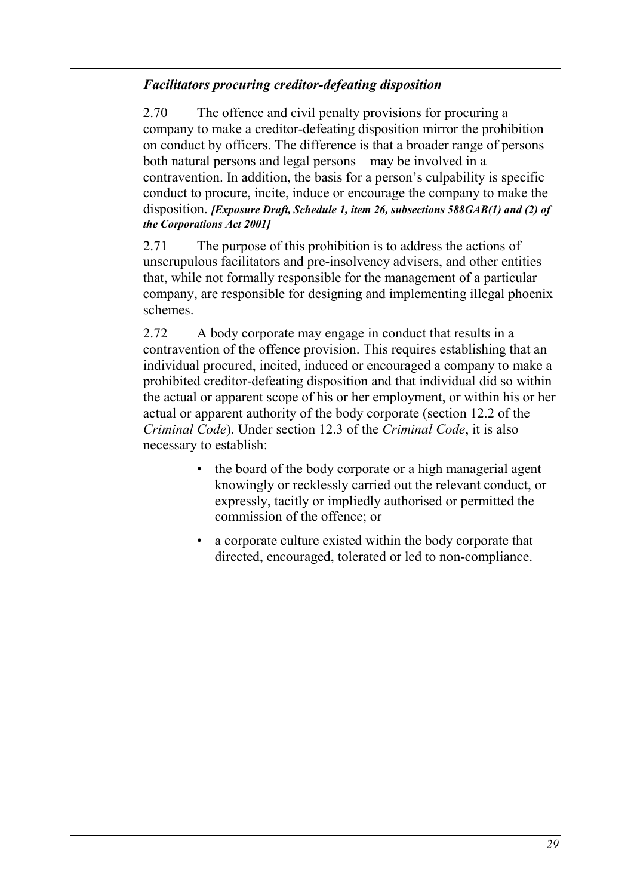### *Facilitators procuring creditor-defeating disposition*

2.70 The offence and civil penalty provisions for procuring a company to make a creditor-defeating disposition mirror the prohibition on conduct by officers. The difference is that a broader range of persons – both natural persons and legal persons – may be involved in a contravention. In addition, the basis for a person's culpability is specific conduct to procure, incite, induce or encourage the company to make the disposition. *[Exposure Draft, Schedule 1, item 26, subsections 588GAB(1) and (2) of the Corporations Act 2001]*

2.71 The purpose of this prohibition is to address the actions of unscrupulous facilitators and pre-insolvency advisers, and other entities that, while not formally responsible for the management of a particular company, are responsible for designing and implementing illegal phoenix schemes.

2.72 A body corporate may engage in conduct that results in a contravention of the offence provision. This requires establishing that an individual procured, incited, induced or encouraged a company to make a prohibited creditor-defeating disposition and that individual did so within the actual or apparent scope of his or her employment, or within his or her actual or apparent authority of the body corporate (section 12.2 of the *Criminal Code*). Under section 12.3 of the *Criminal Code*, it is also necessary to establish:

- the board of the body corporate or a high managerial agent knowingly or recklessly carried out the relevant conduct, or expressly, tacitly or impliedly authorised or permitted the commission of the offence; or
- a corporate culture existed within the body corporate that directed, encouraged, tolerated or led to non-compliance.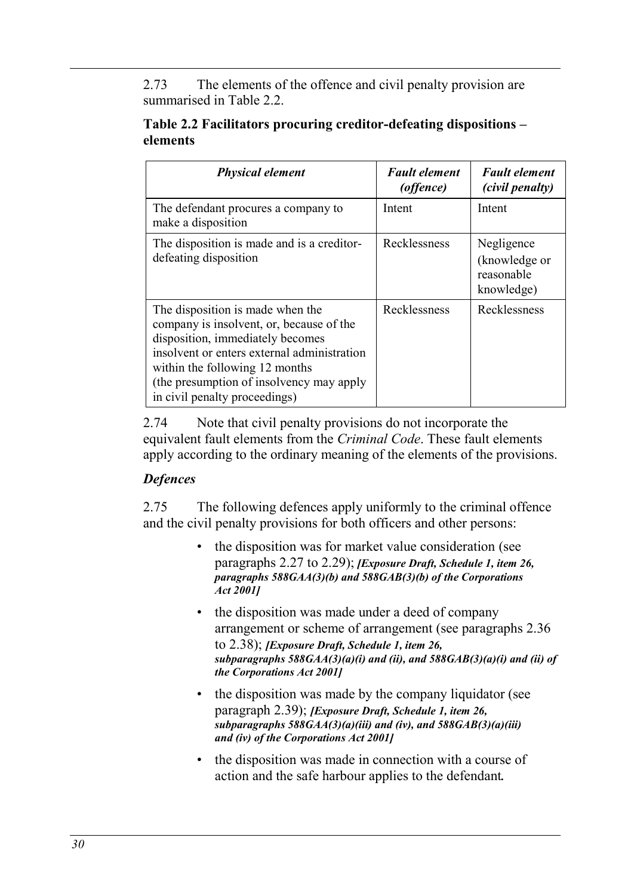2.73 The elements of the offence and civil penalty provision are summarised in [Table 2.2.](#page-29-1)

### <span id="page-29-1"></span>**Table 2.2 Facilitators procuring creditor-defeating dispositions – elements**

| <b>Physical element</b>                                                                                                                                                                                                                                                        | <b>Fault element</b><br>(offence) | <b>Fault element</b><br>(civil penalty)                 |
|--------------------------------------------------------------------------------------------------------------------------------------------------------------------------------------------------------------------------------------------------------------------------------|-----------------------------------|---------------------------------------------------------|
| The defendant procures a company to<br>make a disposition                                                                                                                                                                                                                      | Intent                            | Intent                                                  |
| The disposition is made and is a creditor-<br>defeating disposition                                                                                                                                                                                                            | Recklessness                      | Negligence<br>(knowledge or<br>reasonable<br>knowledge) |
| The disposition is made when the<br>company is insolvent, or, because of the<br>disposition, immediately becomes<br>insolvent or enters external administration<br>within the following 12 months<br>(the presumption of insolvency may apply<br>in civil penalty proceedings) | Recklessness                      | Recklessness                                            |

2.74 Note that civil penalty provisions do not incorporate the equivalent fault elements from the *Criminal Code*. These fault elements apply according to the ordinary meaning of the elements of the provisions.

### *Defences*

<span id="page-29-0"></span>2.75 The following defences apply uniformly to the criminal offence and the civil penalty provisions for both officers and other persons:

- the disposition was for market value consideration (see paragraphs [2.27](#page-19-1) to [2.29\)](#page-19-2); *[Exposure Draft, Schedule 1, item 26, paragraphs 588GAA(3)(b) and 588GAB(3)(b) of the Corporations Act 2001]*
- the disposition was made under a deed of company arrangement or scheme of arrangement (see paragraphs [2.36](#page-21-0) to [2.38\)](#page-21-1); *[Exposure Draft, Schedule 1, item 26, subparagraphs 588GAA(3)(a)(i) and (ii), and 588GAB(3)(a)(i) and (ii) of the Corporations Act 2001]*
- the disposition was made by the company liquidator (see paragraph [2.39\)](#page-21-2); *[Exposure Draft, Schedule 1, item 26, subparagraphs 588GAA(3)(a)(iii) and (iv), and 588GAB(3)(a)(iii) and (iv) of the Corporations Act 2001]*
- the disposition was made in connection with a course of action and the safe harbour applies to the defendant*.*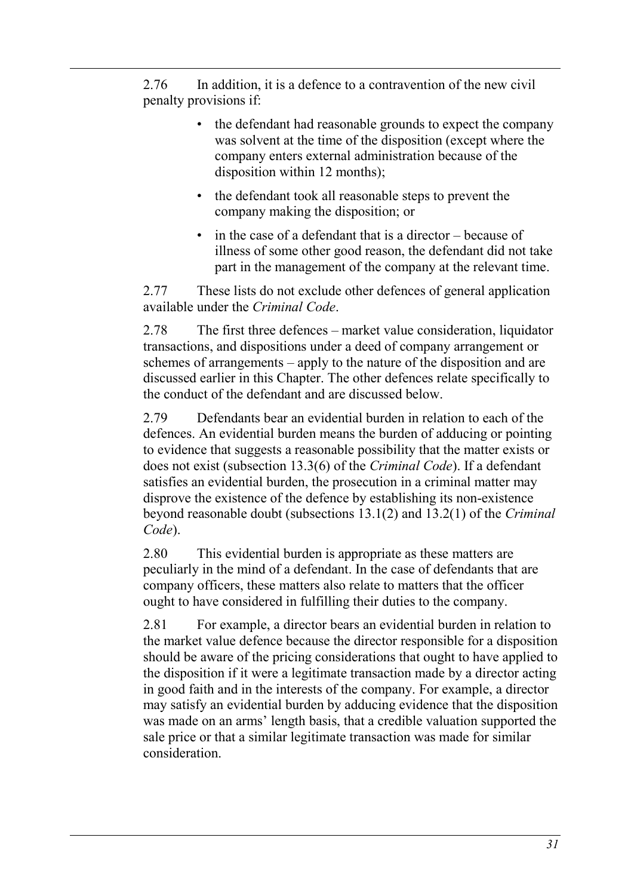2.76 In addition, it is a defence to a contravention of the new civil penalty provisions if:

- the defendant had reasonable grounds to expect the company was solvent at the time of the disposition (except where the company enters external administration because of the disposition within 12 months);
- the defendant took all reasonable steps to prevent the company making the disposition; or
- in the case of a defendant that is a director because of illness of some other good reason, the defendant did not take part in the management of the company at the relevant time.

2.77 These lists do not exclude other defences of general application available under the *Criminal Code*.

2.78 The first three defences – market value consideration, liquidator transactions, and dispositions under a deed of company arrangement or schemes of arrangements – apply to the nature of the disposition and are discussed earlier in this Chapter. The other defences relate specifically to the conduct of the defendant and are discussed below.

2.79 Defendants bear an evidential burden in relation to each of the defences. An evidential burden means the burden of adducing or pointing to evidence that suggests a reasonable possibility that the matter exists or does not exist (subsection 13.3(6) of the *Criminal Code*). If a defendant satisfies an evidential burden, the prosecution in a criminal matter may disprove the existence of the defence by establishing its non-existence beyond reasonable doubt (subsections 13.1(2) and 13.2(1) of the *Criminal Code*).

2.80 This evidential burden is appropriate as these matters are peculiarly in the mind of a defendant. In the case of defendants that are company officers, these matters also relate to matters that the officer ought to have considered in fulfilling their duties to the company.

2.81 For example, a director bears an evidential burden in relation to the market value defence because the director responsible for a disposition should be aware of the pricing considerations that ought to have applied to the disposition if it were a legitimate transaction made by a director acting in good faith and in the interests of the company. For example, a director may satisfy an evidential burden by adducing evidence that the disposition was made on an arms' length basis, that a credible valuation supported the sale price or that a similar legitimate transaction was made for similar consideration.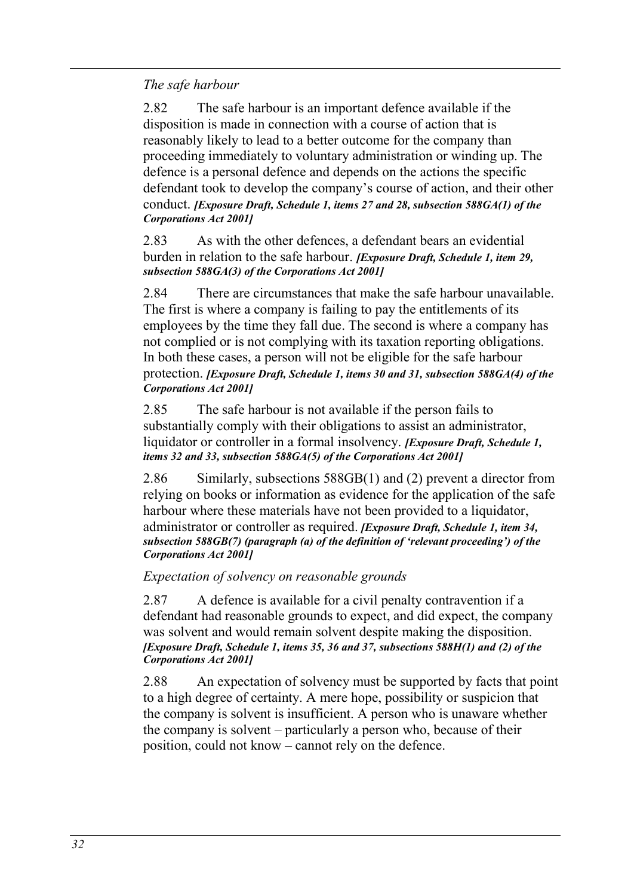*The safe harbour*

<span id="page-31-0"></span>2.82 The safe harbour is an important defence available if the disposition is made in connection with a course of action that is reasonably likely to lead to a better outcome for the company than proceeding immediately to voluntary administration or winding up. The defence is a personal defence and depends on the actions the specific defendant took to develop the company's course of action, and their other conduct. *[Exposure Draft, Schedule 1, items 27 and 28, subsection 588GA(1) of the Corporations Act 2001]*

2.83 As with the other defences, a defendant bears an evidential burden in relation to the safe harbour. *[Exposure Draft, Schedule 1, item 29, subsection 588GA(3) of the Corporations Act 2001]*

2.84 There are circumstances that make the safe harbour unavailable. The first is where a company is failing to pay the entitlements of its employees by the time they fall due. The second is where a company has not complied or is not complying with its taxation reporting obligations. In both these cases, a person will not be eligible for the safe harbour protection. *[Exposure Draft, Schedule 1, items 30 and 31, subsection 588GA(4) of the Corporations Act 2001]*

2.85 The safe harbour is not available if the person fails to substantially comply with their obligations to assist an administrator, liquidator or controller in a formal insolvency. *[Exposure Draft, Schedule 1, items 32 and 33, subsection 588GA(5) of the Corporations Act 2001]*

<span id="page-31-1"></span>2.86 Similarly, subsections 588GB(1) and (2) prevent a director from relying on books or information as evidence for the application of the safe harbour where these materials have not been provided to a liquidator, administrator or controller as required. *[Exposure Draft, Schedule 1, item 34, subsection 588GB(7) (paragraph (a) of the definition of 'relevant proceeding') of the Corporations Act 2001]*

*Expectation of solvency on reasonable grounds*

<span id="page-31-2"></span>2.87 A defence is available for a civil penalty contravention if a defendant had reasonable grounds to expect, and did expect, the company was solvent and would remain solvent despite making the disposition. *[Exposure Draft, Schedule 1, items 35, 36 and 37, subsections 588H(1) and (2) of the Corporations Act 2001]*

2.88 An expectation of solvency must be supported by facts that point to a high degree of certainty. A mere hope, possibility or suspicion that the company is solvent is insufficient. A person who is unaware whether the company is solvent – particularly a person who, because of their position, could not know – cannot rely on the defence.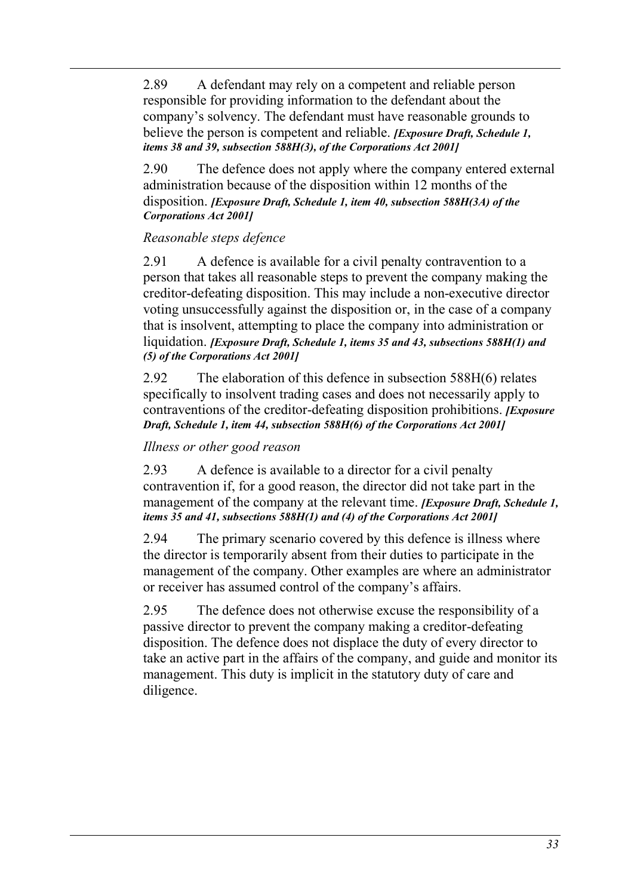2.89 A defendant may rely on a competent and reliable person responsible for providing information to the defendant about the company's solvency. The defendant must have reasonable grounds to believe the person is competent and reliable. *[Exposure Draft, Schedule 1, items 38 and 39, subsection 588H(3), of the Corporations Act 2001]*

2.90 The defence does not apply where the company entered external administration because of the disposition within 12 months of the disposition. *[Exposure Draft, Schedule 1, item 40, subsection 588H(3A) of the Corporations Act 2001]*

### *Reasonable steps defence*

2.91 A defence is available for a civil penalty contravention to a person that takes all reasonable steps to prevent the company making the creditor-defeating disposition. This may include a non-executive director voting unsuccessfully against the disposition or, in the case of a company that is insolvent, attempting to place the company into administration or liquidation. *[Exposure Draft, Schedule 1, items 35 and 43, subsections 588H(1) and (5) of the Corporations Act 2001]*

2.92 The elaboration of this defence in subsection 588H(6) relates specifically to insolvent trading cases and does not necessarily apply to contraventions of the creditor-defeating disposition prohibitions. *[Exposure Draft, Schedule 1, item 44, subsection 588H(6) of the Corporations Act 2001]*

### *Illness or other good reason*

2.93 A defence is available to a director for a civil penalty contravention if, for a good reason, the director did not take part in the management of the company at the relevant time. *[Exposure Draft, Schedule 1, items 35 and 41, subsections 588H(1) and (4) of the Corporations Act 2001]*

2.94 The primary scenario covered by this defence is illness where the director is temporarily absent from their duties to participate in the management of the company. Other examples are where an administrator or receiver has assumed control of the company's affairs.

<span id="page-32-0"></span>2.95 The defence does not otherwise excuse the responsibility of a passive director to prevent the company making a creditor-defeating disposition. The defence does not displace the duty of every director to take an active part in the affairs of the company, and guide and monitor its management. This duty is implicit in the statutory duty of care and diligence.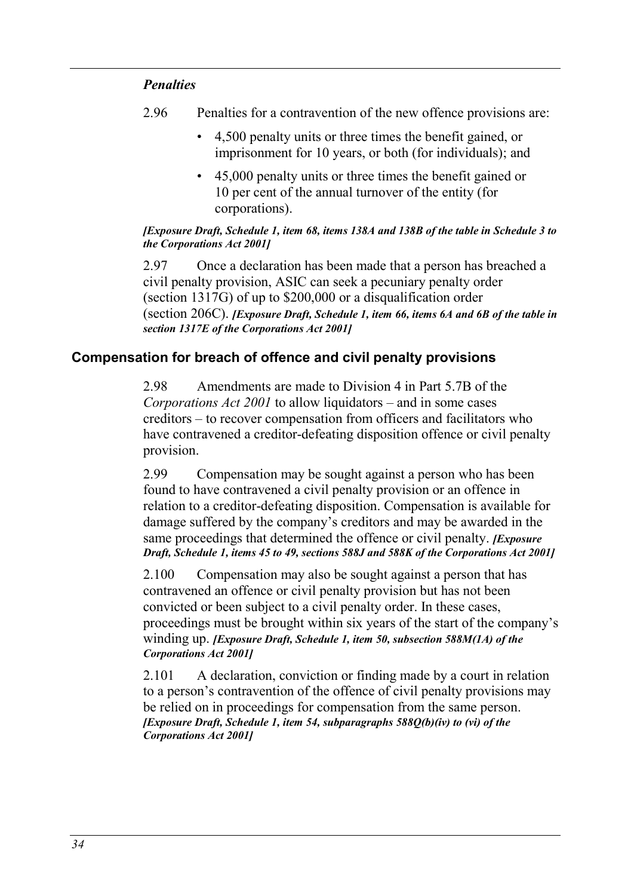#### *Penalties*

- 2.96 Penalties for a contravention of the new offence provisions are:
	- 4,500 penalty units or three times the benefit gained, or imprisonment for 10 years, or both (for individuals); and
	- 45,000 penalty units or three times the benefit gained or 10 per cent of the annual turnover of the entity (for corporations).

#### *[Exposure Draft, Schedule 1, item 68, items 138A and 138B of the table in Schedule 3 to the Corporations Act 2001]*

2.97 Once a declaration has been made that a person has breached a civil penalty provision, ASIC can seek a pecuniary penalty order (section 1317G) of up to \$200,000 or a disqualification order (section 206C). *[Exposure Draft, Schedule 1, item 66, items 6A and 6B of the table in section 1317E of the Corporations Act 2001]*

### **Compensation for breach of offence and civil penalty provisions**

2.98 Amendments are made to Division 4 in Part 5.7B of the *Corporations Act 2001* to allow liquidators – and in some cases creditors – to recover compensation from officers and facilitators who have contravened a creditor-defeating disposition offence or civil penalty provision.

2.99 Compensation may be sought against a person who has been found to have contravened a civil penalty provision or an offence in relation to a creditor-defeating disposition. Compensation is available for damage suffered by the company's creditors and may be awarded in the same proceedings that determined the offence or civil penalty. *[Exposure Draft, Schedule 1, items 45 to 49, sections 588J and 588K of the Corporations Act 2001]*

2.100 Compensation may also be sought against a person that has contravened an offence or civil penalty provision but has not been convicted or been subject to a civil penalty order. In these cases, proceedings must be brought within six years of the start of the company's winding up. *[Exposure Draft, Schedule 1, item 50, subsection 588M(1A) of the Corporations Act 2001]*

2.101 A declaration, conviction or finding made by a court in relation to a person's contravention of the offence of civil penalty provisions may be relied on in proceedings for compensation from the same person. *[Exposure Draft, Schedule 1, item 54, subparagraphs 588Q(b)(iv) to (vi) of the Corporations Act 2001]*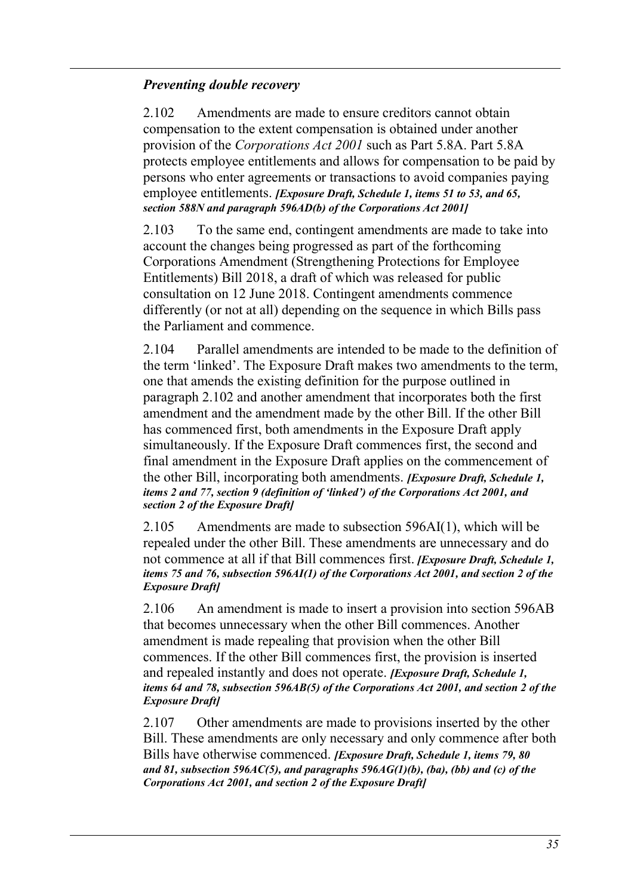#### *Preventing double recovery*

<span id="page-34-0"></span>2.102 Amendments are made to ensure creditors cannot obtain compensation to the extent compensation is obtained under another provision of the *Corporations Act 2001* such as Part 5.8A. Part 5.8A protects employee entitlements and allows for compensation to be paid by persons who enter agreements or transactions to avoid companies paying employee entitlements. *[Exposure Draft, Schedule 1, items 51 to 53, and 65, section 588N and paragraph 596AD(b) of the Corporations Act 2001]*

<span id="page-34-1"></span>2.103 To the same end, contingent amendments are made to take into account the changes being progressed as part of the forthcoming Corporations Amendment (Strengthening Protections for Employee Entitlements) Bill 2018, a draft of which was released for public consultation on 12 June 2018. Contingent amendments commence differently (or not at all) depending on the sequence in which Bills pass the Parliament and commence.

2.104 Parallel amendments are intended to be made to the definition of the term 'linked'. The Exposure Draft makes two amendments to the term, one that amends the existing definition for the purpose outlined in paragraph [2.102](#page-34-0) and another amendment that incorporates both the first amendment and the amendment made by the other Bill. If the other Bill has commenced first, both amendments in the Exposure Draft apply simultaneously. If the Exposure Draft commences first, the second and final amendment in the Exposure Draft applies on the commencement of the other Bill, incorporating both amendments. *[Exposure Draft, Schedule 1, items 2 and 77, section 9 (definition of 'linked') of the Corporations Act 2001, and section 2 of the Exposure Draft]*

2.105 Amendments are made to subsection 596AI(1), which will be repealed under the other Bill. These amendments are unnecessary and do not commence at all if that Bill commences first. *[Exposure Draft, Schedule 1, items 75 and 76, subsection 596AI(1) of the Corporations Act 2001, and section 2 of the Exposure Draft]*

2.106 An amendment is made to insert a provision into section 596AB that becomes unnecessary when the other Bill commences. Another amendment is made repealing that provision when the other Bill commences. If the other Bill commences first, the provision is inserted and repealed instantly and does not operate. *[Exposure Draft, Schedule 1, items 64 and 78, subsection 596AB(5) of the Corporations Act 2001, and section 2 of the Exposure Draft]*

<span id="page-34-2"></span>2.107 Other amendments are made to provisions inserted by the other Bill. These amendments are only necessary and only commence after both Bills have otherwise commenced. *[Exposure Draft, Schedule 1, items 79, 80 and 81, subsection 596AC(5), and paragraphs 596AG(1)(b), (ba), (bb) and (c) of the Corporations Act 2001, and section 2 of the Exposure Draft]*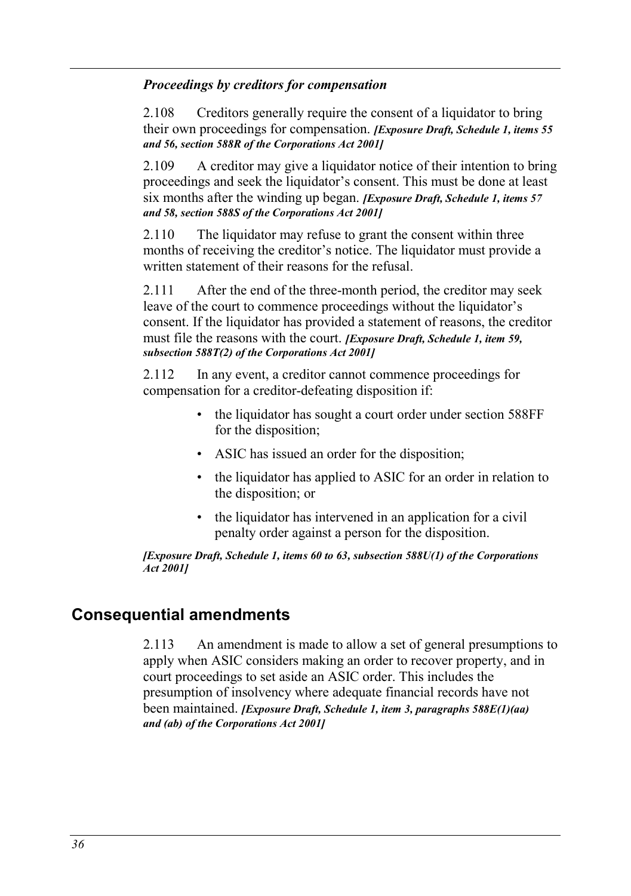#### *Proceedings by creditors for compensation*

2.108 Creditors generally require the consent of a liquidator to bring their own proceedings for compensation. *[Exposure Draft, Schedule 1, items 55 and 56, section 588R of the Corporations Act 2001]*

2.109 A creditor may give a liquidator notice of their intention to bring proceedings and seek the liquidator's consent. This must be done at least six months after the winding up began. *[Exposure Draft, Schedule 1, items 57 and 58, section 588S of the Corporations Act 2001]*

2.110 The liquidator may refuse to grant the consent within three months of receiving the creditor's notice. The liquidator must provide a written statement of their reasons for the refusal

2.111 After the end of the three-month period, the creditor may seek leave of the court to commence proceedings without the liquidator's consent. If the liquidator has provided a statement of reasons, the creditor must file the reasons with the court. *[Exposure Draft, Schedule 1, item 59, subsection 588T(2) of the Corporations Act 2001]*

2.112 In any event, a creditor cannot commence proceedings for compensation for a creditor-defeating disposition if:

- the liquidator has sought a court order under section 588FF for the disposition;
- ASIC has issued an order for the disposition;
- the liquidator has applied to ASIC for an order in relation to the disposition; or
- the liquidator has intervened in an application for a civil penalty order against a person for the disposition.

*[Exposure Draft, Schedule 1, items 60 to 63, subsection 588U(1) of the Corporations Act 2001]*

### **Consequential amendments**

2.113 An amendment is made to allow a set of general presumptions to apply when ASIC considers making an order to recover property, and in court proceedings to set aside an ASIC order. This includes the presumption of insolvency where adequate financial records have not been maintained. *[Exposure Draft, Schedule 1, item 3, paragraphs 588E(1)(aa) and (ab) of the Corporations Act 2001]*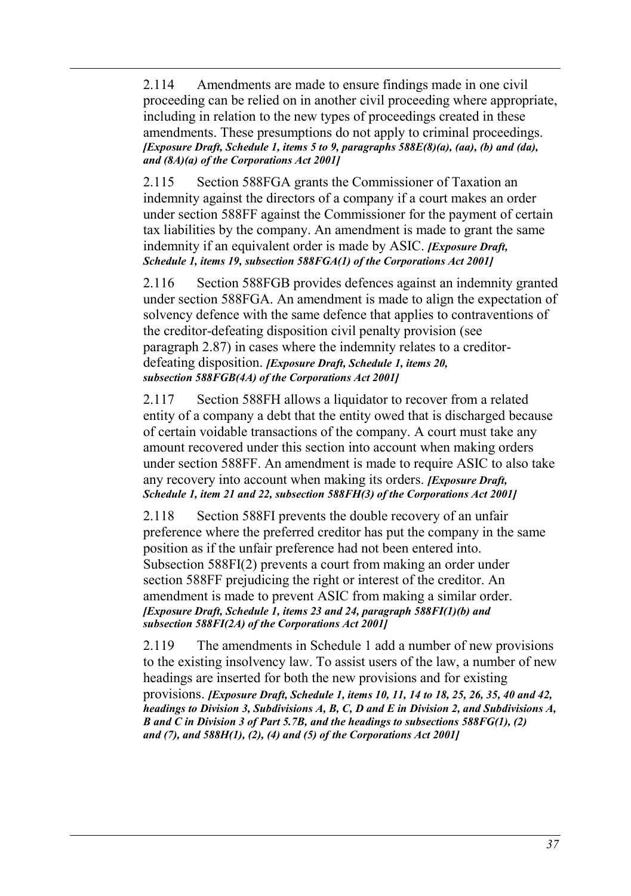2.114 Amendments are made to ensure findings made in one civil proceeding can be relied on in another civil proceeding where appropriate, including in relation to the new types of proceedings created in these amendments. These presumptions do not apply to criminal proceedings. *[Exposure Draft, Schedule 1, items 5 to 9, paragraphs 588E(8)(a), (aa), (b) and (da), and (8A)(a) of the Corporations Act 2001]*

2.115 Section 588FGA grants the Commissioner of Taxation an indemnity against the directors of a company if a court makes an order under section 588FF against the Commissioner for the payment of certain tax liabilities by the company. An amendment is made to grant the same indemnity if an equivalent order is made by ASIC. *[Exposure Draft, Schedule 1, items 19, subsection 588FGA(1) of the Corporations Act 2001]*

2.116 Section 588FGB provides defences against an indemnity granted under section 588FGA. An amendment is made to align the expectation of solvency defence with the same defence that applies to contraventions of the creditor-defeating disposition civil penalty provision (see paragraph [2.87\)](#page-31-2) in cases where the indemnity relates to a creditordefeating disposition. *[Exposure Draft, Schedule 1, items 20, subsection 588FGB(4A) of the Corporations Act 2001]*

2.117 Section 588FH allows a liquidator to recover from a related entity of a company a debt that the entity owed that is discharged because of certain voidable transactions of the company. A court must take any amount recovered under this section into account when making orders under section 588FF. An amendment is made to require ASIC to also take any recovery into account when making its orders. *[Exposure Draft, Schedule 1, item 21 and 22, subsection 588FH(3) of the Corporations Act 2001]* 

2.118 Section 588FI prevents the double recovery of an unfair preference where the preferred creditor has put the company in the same position as if the unfair preference had not been entered into. Subsection 588FI(2) prevents a court from making an order under section 588FF prejudicing the right or interest of the creditor. An amendment is made to prevent ASIC from making a similar order. *[Exposure Draft, Schedule 1, items 23 and 24, paragraph 588FI(1)(b) and subsection 588FI(2A) of the Corporations Act 2001]*

2.119 The amendments in Schedule 1 add a number of new provisions to the existing insolvency law. To assist users of the law, a number of new headings are inserted for both the new provisions and for existing provisions. *[Exposure Draft, Schedule 1, items 10, 11, 14 to 18, 25, 26, 35, 40 and 42,* 

*headings to Division 3, Subdivisions A, B, C, D and E in Division 2, and Subdivisions A, B and C in Division 3 of Part 5.7B, and the headings to subsections 588FG(1), (2) and (7), and 588H(1), (2), (4) and (5) of the Corporations Act 2001]*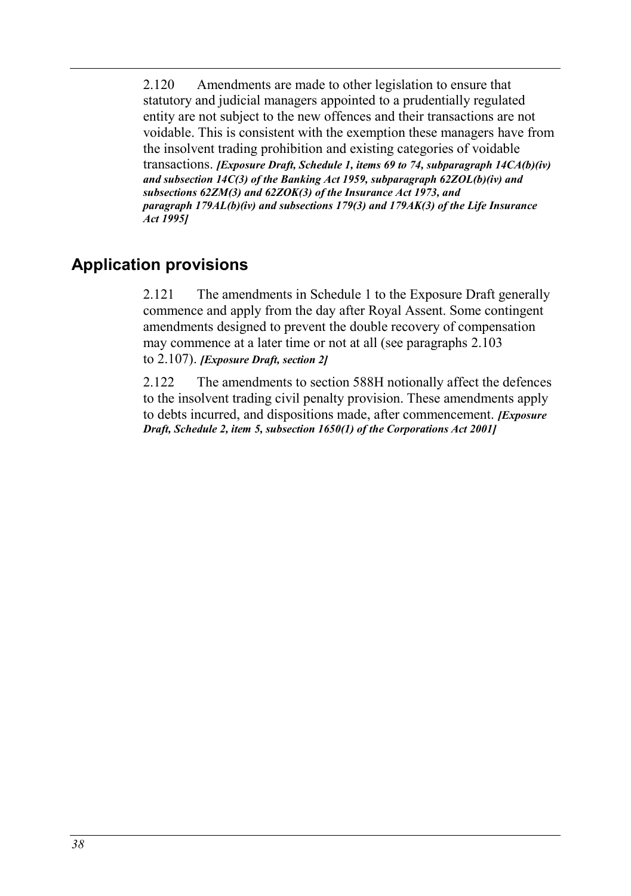2.120 Amendments are made to other legislation to ensure that statutory and judicial managers appointed to a prudentially regulated entity are not subject to the new offences and their transactions are not voidable. This is consistent with the exemption these managers have from the insolvent trading prohibition and existing categories of voidable

transactions. *[Exposure Draft, Schedule 1, items 69 to 74, subparagraph 14CA(b)(iv) and subsection 14C(3) of the Banking Act 1959, subparagraph 62ZOL(b)(iv) and subsections 62ZM(3) and 62ZOK(3) of the Insurance Act 1973, and paragraph 179AL(b)(iv) and subsections 179(3) and 179AK(3) of the Life Insurance Act 1995]*

# **Application provisions**

2.121 The amendments in Schedule 1 to the Exposure Draft generally commence and apply from the day after Royal Assent. Some contingent amendments designed to prevent the double recovery of compensation may commence at a later time or not at all (see paragraphs [2.103](#page-34-1) to [2.107\)](#page-34-2). *[Exposure Draft, section 2]*

2.122 The amendments to section 588H notionally affect the defences to the insolvent trading civil penalty provision. These amendments apply to debts incurred, and dispositions made, after commencement. *[Exposure Draft, Schedule 2, item 5, subsection 1650(1) of the Corporations Act 2001]*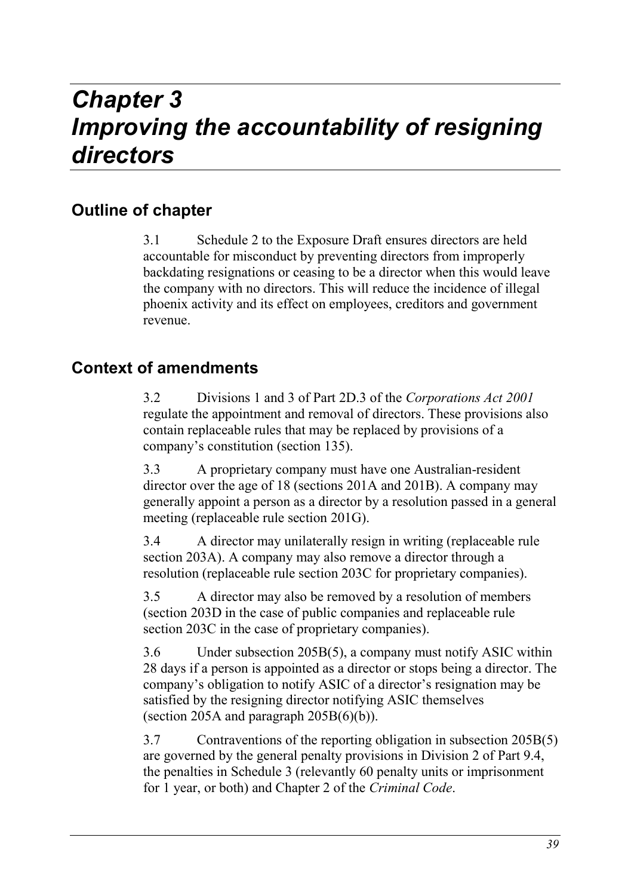# *Chapter 3 Improving the accountability of resigning directors*

# **Outline of chapter**

3.1 Schedule 2 to the Exposure Draft ensures directors are held accountable for misconduct by preventing directors from improperly backdating resignations or ceasing to be a director when this would leave the company with no directors. This will reduce the incidence of illegal phoenix activity and its effect on employees, creditors and government revenue.

# **Context of amendments**

3.2 Divisions 1 and 3 of Part 2D.3 of the *Corporations Act 2001*  regulate the appointment and removal of directors. These provisions also contain replaceable rules that may be replaced by provisions of a company's constitution (section 135).

3.3 A proprietary company must have one Australian-resident director over the age of 18 (sections 201A and 201B). A company may generally appoint a person as a director by a resolution passed in a general meeting (replaceable rule section 201G).

3.4 A director may unilaterally resign in writing (replaceable rule section 203A). A company may also remove a director through a resolution (replaceable rule section 203C for proprietary companies).

3.5 A director may also be removed by a resolution of members (section 203D in the case of public companies and replaceable rule section 203C in the case of proprietary companies).

3.6 Under subsection 205B(5), a company must notify ASIC within 28 days if a person is appointed as a director or stops being a director. The company's obligation to notify ASIC of a director's resignation may be satisfied by the resigning director notifying ASIC themselves (section 205A and paragraph  $205B(6)(b)$ ).

3.7 Contraventions of the reporting obligation in subsection 205B(5) are governed by the general penalty provisions in Division 2 of Part 9.4, the penalties in Schedule 3 (relevantly 60 penalty units or imprisonment for 1 year, or both) and Chapter 2 of the *Criminal Code*.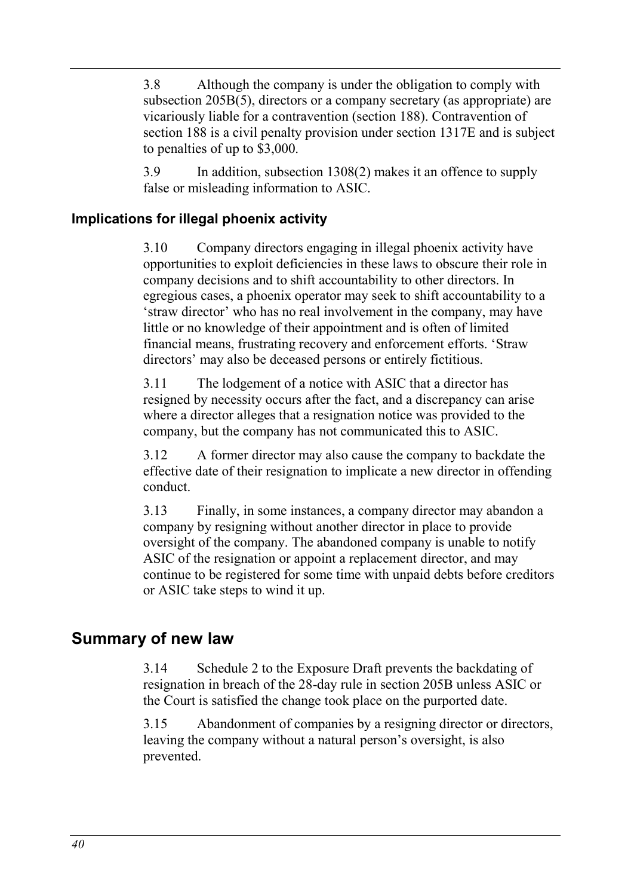3.8 Although the company is under the obligation to comply with subsection 205B(5), directors or a company secretary (as appropriate) are vicariously liable for a contravention (section 188). Contravention of section 188 is a civil penalty provision under section 1317E and is subject to penalties of up to \$3,000.

3.9 In addition, subsection 1308(2) makes it an offence to supply false or misleading information to ASIC.

### **Implications for illegal phoenix activity**

3.10 Company directors engaging in illegal phoenix activity have opportunities to exploit deficiencies in these laws to obscure their role in company decisions and to shift accountability to other directors. In egregious cases, a phoenix operator may seek to shift accountability to a 'straw director' who has no real involvement in the company, may have little or no knowledge of their appointment and is often of limited financial means, frustrating recovery and enforcement efforts. 'Straw directors' may also be deceased persons or entirely fictitious.

3.11 The lodgement of a notice with ASIC that a director has resigned by necessity occurs after the fact, and a discrepancy can arise where a director alleges that a resignation notice was provided to the company, but the company has not communicated this to ASIC.

3.12 A former director may also cause the company to backdate the effective date of their resignation to implicate a new director in offending conduct.

3.13 Finally, in some instances, a company director may abandon a company by resigning without another director in place to provide oversight of the company. The abandoned company is unable to notify ASIC of the resignation or appoint a replacement director, and may continue to be registered for some time with unpaid debts before creditors or ASIC take steps to wind it up.

## **Summary of new law**

3.14 Schedule 2 to the Exposure Draft prevents the backdating of resignation in breach of the 28-day rule in section 205B unless ASIC or the Court is satisfied the change took place on the purported date.

3.15 Abandonment of companies by a resigning director or directors, leaving the company without a natural person's oversight, is also prevented.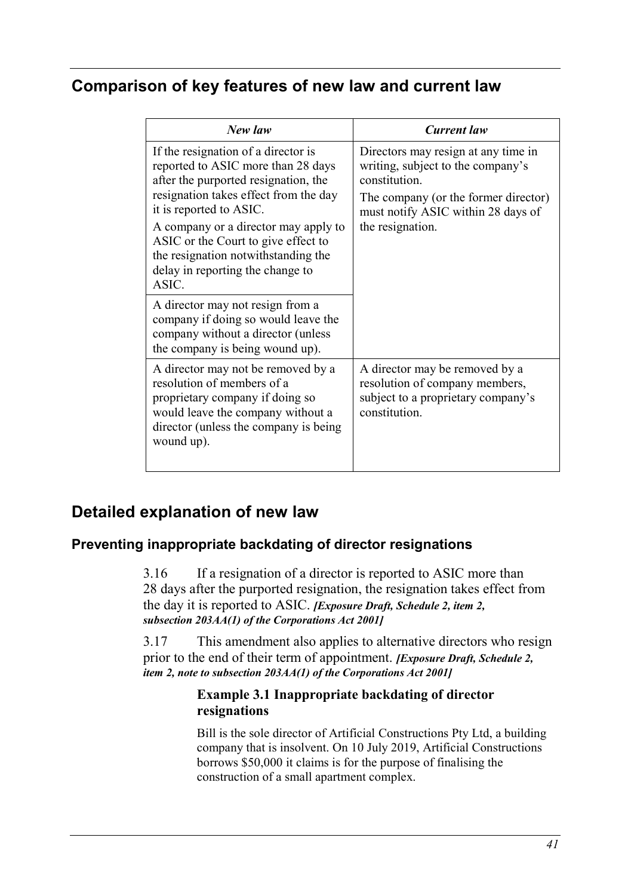# **Comparison of key features of new law and current law**

| New law                                                                                                                                                                                                                                                                                                                                                  | <b>Current</b> law                                                                                                                                                                          |
|----------------------------------------------------------------------------------------------------------------------------------------------------------------------------------------------------------------------------------------------------------------------------------------------------------------------------------------------------------|---------------------------------------------------------------------------------------------------------------------------------------------------------------------------------------------|
| If the resignation of a director is<br>reported to ASIC more than 28 days<br>after the purported resignation, the<br>resignation takes effect from the day<br>it is reported to ASIC.<br>A company or a director may apply to<br>ASIC or the Court to give effect to<br>the resignation notwithstanding the<br>delay in reporting the change to<br>ASIC. | Directors may resign at any time in<br>writing, subject to the company's<br>constitution.<br>The company (or the former director)<br>must notify ASIC within 28 days of<br>the resignation. |
| A director may not resign from a<br>company if doing so would leave the<br>company without a director (unless<br>the company is being wound up).                                                                                                                                                                                                         |                                                                                                                                                                                             |
| A director may not be removed by a<br>resolution of members of a<br>proprietary company if doing so<br>would leave the company without a<br>director (unless the company is being<br>wound up).                                                                                                                                                          | A director may be removed by a<br>resolution of company members,<br>subject to a proprietary company's<br>constitution.                                                                     |

## **Detailed explanation of new law**

### **Preventing inappropriate backdating of director resignations**

3.16 If a resignation of a director is reported to ASIC more than 28 days after the purported resignation, the resignation takes effect from the day it is reported to ASIC. *[Exposure Draft, Schedule 2, item 2, subsection 203AA(1) of the Corporations Act 2001]*

3.17 This amendment also applies to alternative directors who resign prior to the end of their term of appointment. *[Exposure Draft, Schedule 2, item 2, note to subsection 203AA(1) of the Corporations Act 2001]*

#### <span id="page-40-0"></span>**Example 3.1 Inappropriate backdating of director resignations**

Bill is the sole director of Artificial Constructions Pty Ltd, a building company that is insolvent. On 10 July 2019, Artificial Constructions borrows \$50,000 it claims is for the purpose of finalising the construction of a small apartment complex.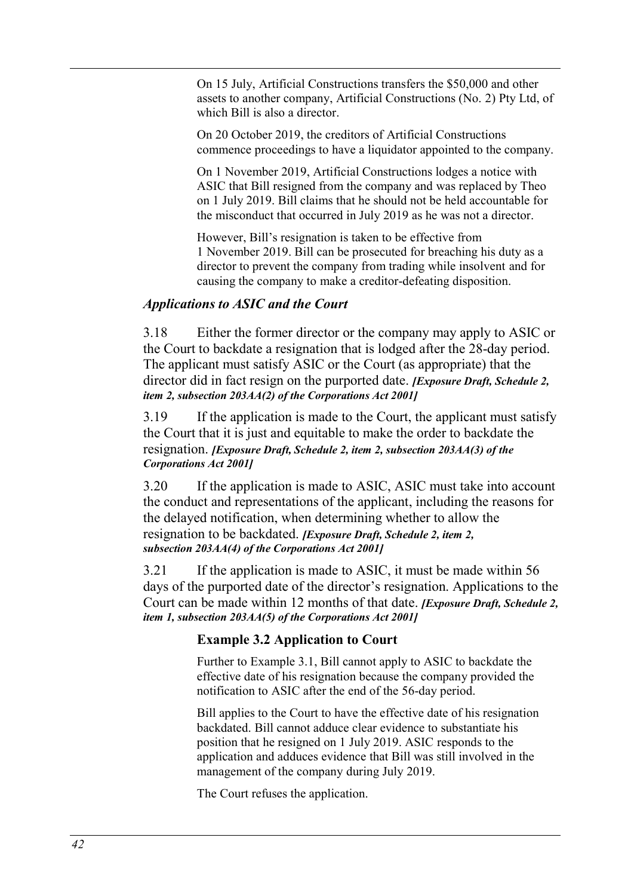On 15 July, Artificial Constructions transfers the \$50,000 and other assets to another company, Artificial Constructions (No. 2) Pty Ltd, of which Bill is also a director.

On 20 October 2019, the creditors of Artificial Constructions commence proceedings to have a liquidator appointed to the company.

On 1 November 2019, Artificial Constructions lodges a notice with ASIC that Bill resigned from the company and was replaced by Theo on 1 July 2019. Bill claims that he should not be held accountable for the misconduct that occurred in July 2019 as he was not a director.

However, Bill's resignation is taken to be effective from 1 November 2019. Bill can be prosecuted for breaching his duty as a director to prevent the company from trading while insolvent and for causing the company to make a creditor-defeating disposition.

#### *Applications to ASIC and the Court*

3.18 Either the former director or the company may apply to ASIC or the Court to backdate a resignation that is lodged after the 28-day period. The applicant must satisfy ASIC or the Court (as appropriate) that the director did in fact resign on the purported date. *[Exposure Draft, Schedule 2, item 2, subsection 203AA(2) of the Corporations Act 2001]*

3.19 If the application is made to the Court, the applicant must satisfy the Court that it is just and equitable to make the order to backdate the resignation. *[Exposure Draft, Schedule 2, item 2, subsection 203AA(3) of the Corporations Act 2001]*

3.20 If the application is made to ASIC, ASIC must take into account the conduct and representations of the applicant, including the reasons for the delayed notification, when determining whether to allow the resignation to be backdated. *[Exposure Draft, Schedule 2, item 2, subsection 203AA(4) of the Corporations Act 2001]*

3.21 If the application is made to ASIC, it must be made within 56 days of the purported date of the director's resignation. Applications to the Court can be made within 12 months of that date. *[Exposure Draft, Schedule 2, item 1, subsection 203AA(5) of the Corporations Act 2001]*

#### **Example 3.2 Application to Court**

Further to [Example 3.1,](#page-40-0) Bill cannot apply to ASIC to backdate the effective date of his resignation because the company provided the notification to ASIC after the end of the 56-day period.

Bill applies to the Court to have the effective date of his resignation backdated. Bill cannot adduce clear evidence to substantiate his position that he resigned on 1 July 2019. ASIC responds to the application and adduces evidence that Bill was still involved in the management of the company during July 2019.

The Court refuses the application.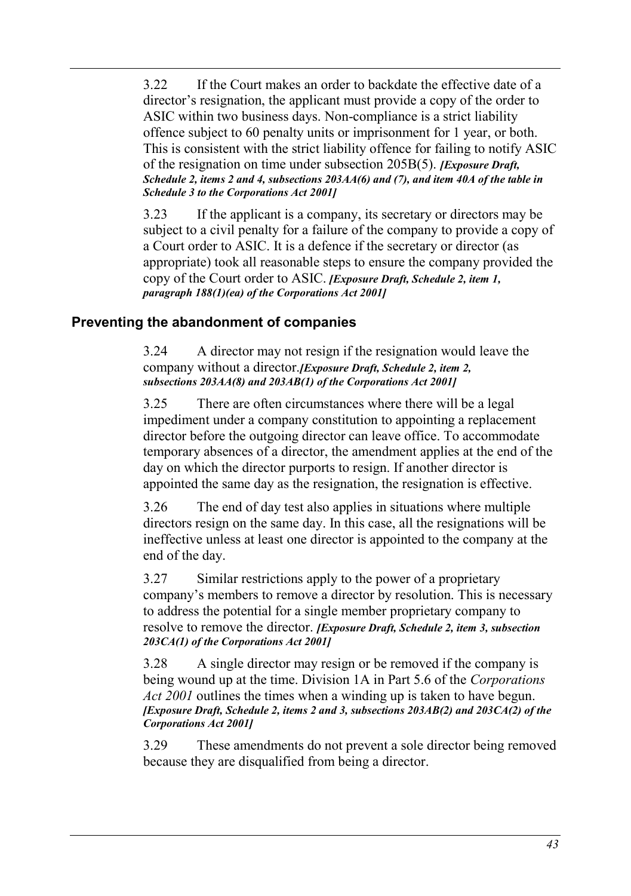3.22 If the Court makes an order to backdate the effective date of a director's resignation, the applicant must provide a copy of the order to ASIC within two business days. Non-compliance is a strict liability offence subject to 60 penalty units or imprisonment for 1 year, or both. This is consistent with the strict liability offence for failing to notify ASIC of the resignation on time under subsection 205B(5). *[Exposure Draft, Schedule 2, items 2 and 4, subsections 203AA(6) and (7), and item 40A of the table in Schedule 3 to the Corporations Act 2001]*

3.23 If the applicant is a company, its secretary or directors may be subject to a civil penalty for a failure of the company to provide a copy of a Court order to ASIC. It is a defence if the secretary or director (as appropriate) took all reasonable steps to ensure the company provided the copy of the Court order to ASIC. *[Exposure Draft, Schedule 2, item 1, paragraph 188(1)(ea) of the Corporations Act 2001]*

### **Preventing the abandonment of companies**

3.24 A director may not resign if the resignation would leave the company without a director.*[Exposure Draft, Schedule 2, item 2, subsections 203AA(8) and 203AB(1) of the Corporations Act 2001]*

3.25 There are often circumstances where there will be a legal impediment under a company constitution to appointing a replacement director before the outgoing director can leave office. To accommodate temporary absences of a director, the amendment applies at the end of the day on which the director purports to resign. If another director is appointed the same day as the resignation, the resignation is effective.

3.26 The end of day test also applies in situations where multiple directors resign on the same day. In this case, all the resignations will be ineffective unless at least one director is appointed to the company at the end of the day.

3.27 Similar restrictions apply to the power of a proprietary company's members to remove a director by resolution. This is necessary to address the potential for a single member proprietary company to resolve to remove the director. *[Exposure Draft, Schedule 2, item 3, subsection 203CA(1) of the Corporations Act 2001]*

3.28 A single director may resign or be removed if the company is being wound up at the time. Division 1A in Part 5.6 of the *Corporations Act 2001* outlines the times when a winding up is taken to have begun. *[Exposure Draft, Schedule 2, items 2 and 3, subsections 203AB(2) and 203CA(2) of the Corporations Act 2001]*

3.29 These amendments do not prevent a sole director being removed because they are disqualified from being a director.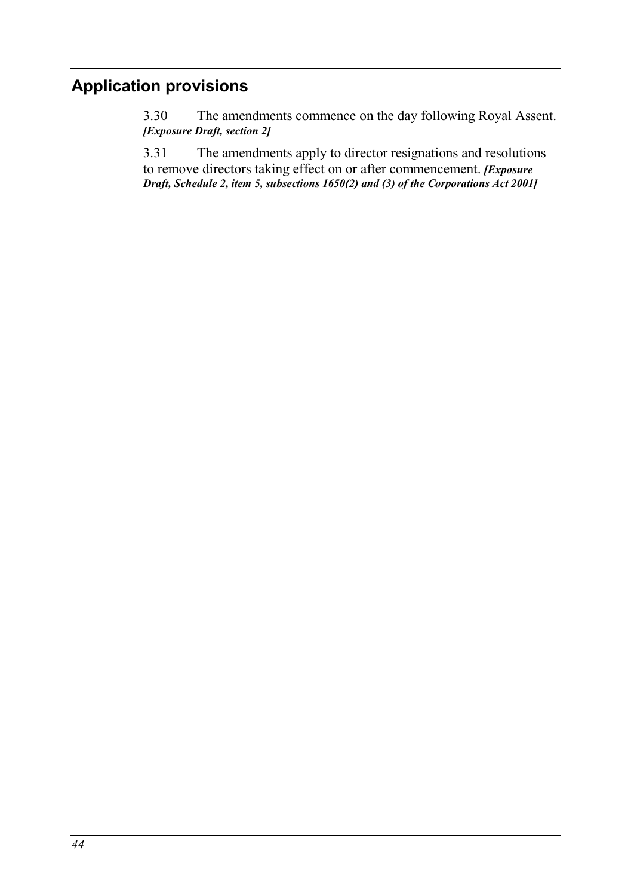# **Application provisions**

3.30 The amendments commence on the day following Royal Assent. *[Exposure Draft, section 2]*

3.31 The amendments apply to director resignations and resolutions to remove directors taking effect on or after commencement. *[Exposure Draft, Schedule 2, item 5, subsections 1650(2) and (3) of the Corporations Act 2001]*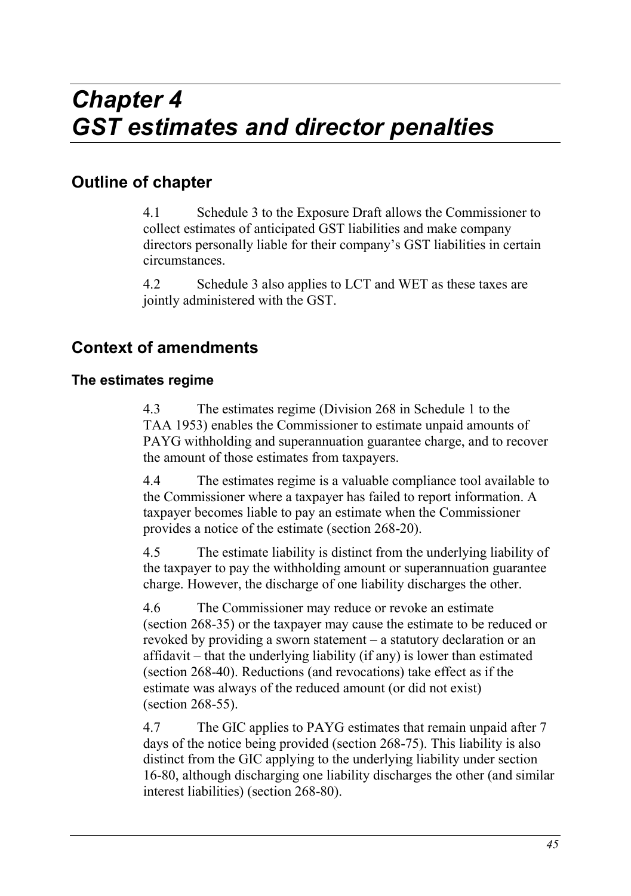# **Outline of chapter**

4.1 Schedule 3 to the Exposure Draft allows the Commissioner to collect estimates of anticipated GST liabilities and make company directors personally liable for their company's GST liabilities in certain circumstances.

4.2 Schedule 3 also applies to LCT and WET as these taxes are jointly administered with the GST.

# **Context of amendments**

### **The estimates regime**

4.3 The estimates regime (Division 268 in Schedule 1 to the TAA 1953) enables the Commissioner to estimate unpaid amounts of PAYG withholding and superannuation guarantee charge, and to recover the amount of those estimates from taxpayers.

4.4 The estimates regime is a valuable compliance tool available to the Commissioner where a taxpayer has failed to report information. A taxpayer becomes liable to pay an estimate when the Commissioner provides a notice of the estimate (section 268-20).

4.5 The estimate liability is distinct from the underlying liability of the taxpayer to pay the withholding amount or superannuation guarantee charge. However, the discharge of one liability discharges the other.

4.6 The Commissioner may reduce or revoke an estimate (section 268-35) or the taxpayer may cause the estimate to be reduced or revoked by providing a sworn statement – a statutory declaration or an affidavit – that the underlying liability (if any) is lower than estimated (section 268-40). Reductions (and revocations) take effect as if the estimate was always of the reduced amount (or did not exist) (section 268-55).

4.7 The GIC applies to PAYG estimates that remain unpaid after 7 days of the notice being provided (section 268-75). This liability is also distinct from the GIC applying to the underlying liability under section 16-80, although discharging one liability discharges the other (and similar interest liabilities) (section 268-80).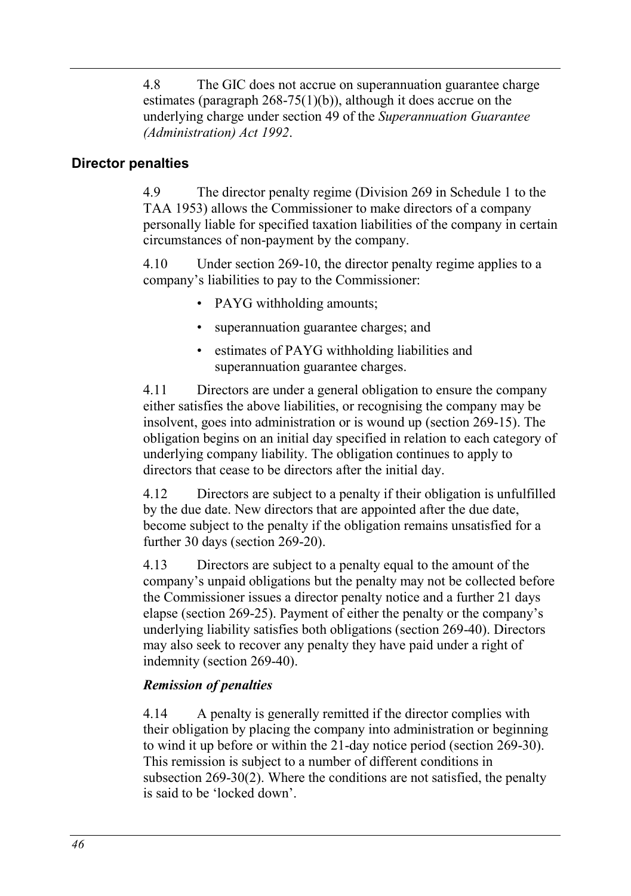4.8 The GIC does not accrue on superannuation guarantee charge estimates (paragraph  $268-75(1)(b)$ ), although it does accrue on the underlying charge under section 49 of the *Superannuation Guarantee (Administration) Act 1992*.

### **Director penalties**

4.9 The director penalty regime (Division 269 in Schedule 1 to the TAA 1953) allows the Commissioner to make directors of a company personally liable for specified taxation liabilities of the company in certain circumstances of non-payment by the company.

4.10 Under section 269-10, the director penalty regime applies to a company's liabilities to pay to the Commissioner:

- PAYG withholding amounts;
- superannuation guarantee charges; and
- estimates of PAYG withholding liabilities and superannuation guarantee charges.

4.11 Directors are under a general obligation to ensure the company either satisfies the above liabilities, or recognising the company may be insolvent, goes into administration or is wound up (section 269-15). The obligation begins on an initial day specified in relation to each category of underlying company liability. The obligation continues to apply to directors that cease to be directors after the initial day.

4.12 Directors are subject to a penalty if their obligation is unfulfilled by the due date. New directors that are appointed after the due date, become subject to the penalty if the obligation remains unsatisfied for a further 30 days (section 269-20).

4.13 Directors are subject to a penalty equal to the amount of the company's unpaid obligations but the penalty may not be collected before the Commissioner issues a director penalty notice and a further 21 days elapse (section 269-25). Payment of either the penalty or the company's underlying liability satisfies both obligations (section 269-40). Directors may also seek to recover any penalty they have paid under a right of indemnity (section 269-40).

### *Remission of penalties*

4.14 A penalty is generally remitted if the director complies with their obligation by placing the company into administration or beginning to wind it up before or within the 21-day notice period (section 269-30). This remission is subject to a number of different conditions in subsection 269-30(2). Where the conditions are not satisfied, the penalty is said to be 'locked down'.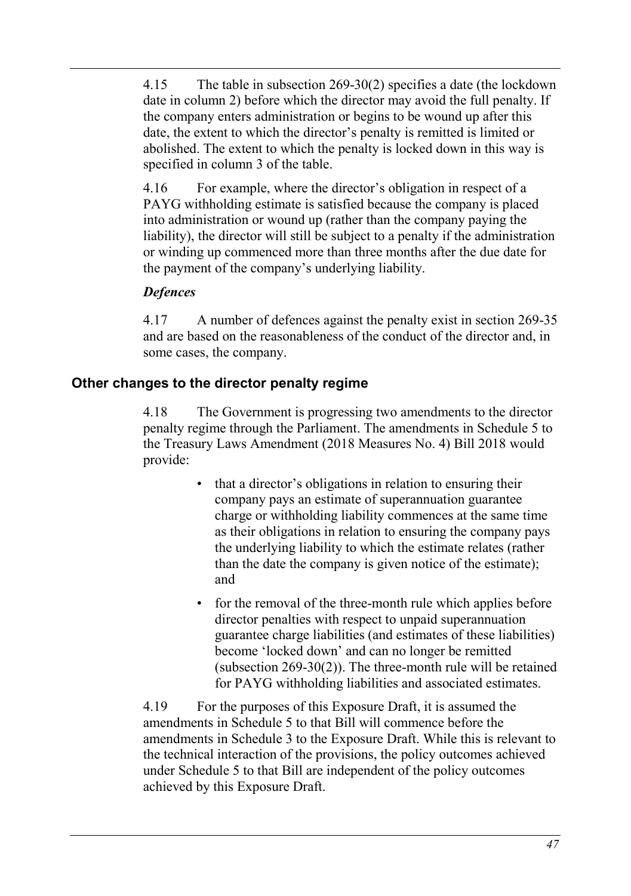4.15 The table in subsection 269-30(2) specifies a date (the lockdown date in column 2) before which the director may avoid the full penalty. If the company enters administration or begins to be wound up after this date, the extent to which the director's penalty is remitted is limited or abolished. The extent to which the penalty is locked down in this way is specified in column 3 of the table.

4.16 For example, where the director's obligation in respect of a PAYG withholding estimate is satisfied because the company is placed into administration or wound up (rather than the company paying the liability), the director will still be subject to a penalty if the administration or winding up commenced more than three months after the due date for the payment of the company's underlying liability.

### *Defences*

4.17 A number of defences against the penalty exist in section 269-35 and are based on the reasonableness of the conduct of the director and, in some cases, the company.

### **Other changes to the director penalty regime**

4.18 The Government is progressing two amendments to the director penalty regime through the Parliament. The amendments in Schedule 5 to the Treasury Laws Amendment (2018 Measures No. 4) Bill 2018 would provide:

- that a director's obligations in relation to ensuring their company pays an estimate of superannuation guarantee charge or withholding liability commences at the same time as their obligations in relation to ensuring the company pays the underlying liability to which the estimate relates (rather than the date the company is given notice of the estimate); and
- for the removal of the three-month rule which applies before director penalties with respect to unpaid superannuation guarantee charge liabilities (and estimates of these liabilities) become 'locked down' and can no longer be remitted (subsection 269-30(2)). The three-month rule will be retained for PAYG withholding liabilities and associated estimates.

4.19 For the purposes of this Exposure Draft, it is assumed the amendments in Schedule 5 to that Bill will commence before the amendments in Schedule 3 to the Exposure Draft. While this is relevant to the technical interaction of the provisions, the policy outcomes achieved under Schedule 5 to that Bill are independent of the policy outcomes achieved by this Exposure Draft.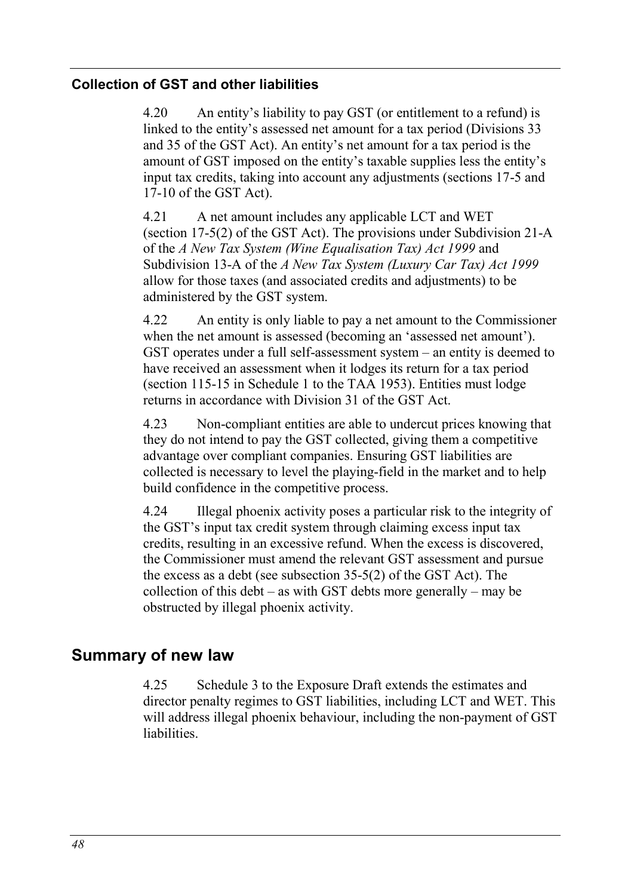### **Collection of GST and other liabilities**

4.20 An entity's liability to pay GST (or entitlement to a refund) is linked to the entity's assessed net amount for a tax period (Divisions 33 and 35 of the GST Act). An entity's net amount for a tax period is the amount of GST imposed on the entity's taxable supplies less the entity's input tax credits, taking into account any adjustments (sections 17-5 and 17-10 of the GST Act).

<span id="page-47-0"></span>4.21 A net amount includes any applicable LCT and WET (section 17-5(2) of the GST Act). The provisions under Subdivision 21-A of the *A New Tax System (Wine Equalisation Tax) Act 1999* and Subdivision 13-A of the *A New Tax System (Luxury Car Tax) Act 1999* allow for those taxes (and associated credits and adjustments) to be administered by the GST system.

4.22 An entity is only liable to pay a net amount to the Commissioner when the net amount is assessed (becoming an 'assessed net amount'). GST operates under a full self-assessment system – an entity is deemed to have received an assessment when it lodges its return for a tax period (section 115-15 in Schedule 1 to the TAA 1953). Entities must lodge returns in accordance with Division 31 of the GST Act.

4.23 Non-compliant entities are able to undercut prices knowing that they do not intend to pay the GST collected, giving them a competitive advantage over compliant companies. Ensuring GST liabilities are collected is necessary to level the playing-field in the market and to help build confidence in the competitive process.

<span id="page-47-1"></span>4.24 Illegal phoenix activity poses a particular risk to the integrity of the GST's input tax credit system through claiming excess input tax credits, resulting in an excessive refund. When the excess is discovered, the Commissioner must amend the relevant GST assessment and pursue the excess as a debt (see subsection 35-5(2) of the GST Act). The collection of this debt – as with GST debts more generally – may be obstructed by illegal phoenix activity.

### **Summary of new law**

4.25 Schedule 3 to the Exposure Draft extends the estimates and director penalty regimes to GST liabilities, including LCT and WET. This will address illegal phoenix behaviour, including the non-payment of GST liabilities.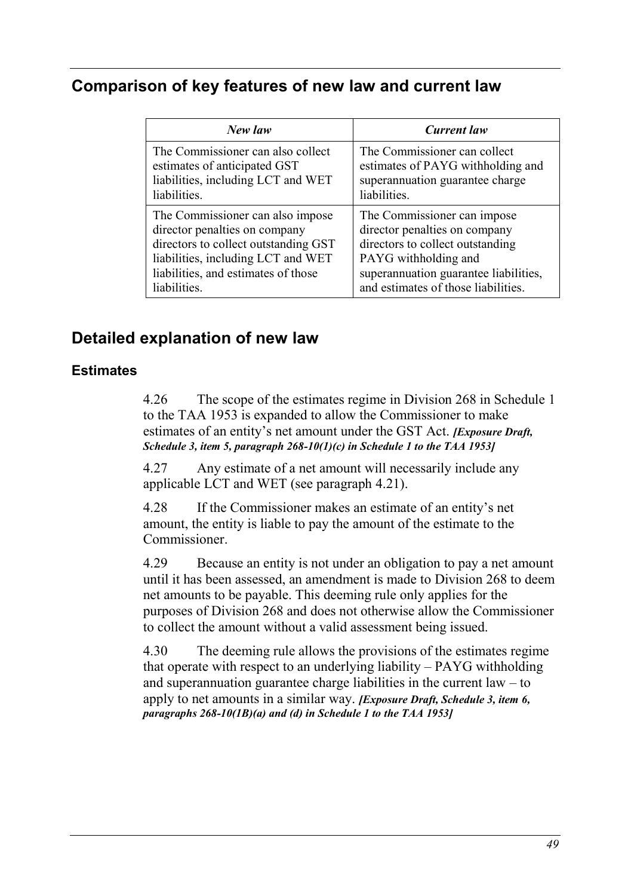# **Comparison of key features of new law and current law**

| New law                              | Current law                           |
|--------------------------------------|---------------------------------------|
| The Commissioner can also collect    | The Commissioner can collect          |
| estimates of anticipated GST         | estimates of PAYG withholding and     |
| liabilities, including LCT and WET   | superannuation guarantee charge       |
| liabilities.                         | liabilities.                          |
| The Commissioner can also impose     | The Commissioner can impose           |
| director penalties on company        | director penalties on company         |
| directors to collect outstanding GST | directors to collect outstanding      |
| liabilities, including LCT and WET   | PAYG withholding and                  |
| liabilities, and estimates of those  | superannuation guarantee liabilities, |
| liabilities.                         | and estimates of those liabilities.   |

# **Detailed explanation of new law**

### **Estimates**

4.26 The scope of the estimates regime in Division 268 in Schedule 1 to the TAA 1953 is expanded to allow the Commissioner to make estimates of an entity's net amount under the GST Act. *[Exposure Draft, Schedule 3, item 5, paragraph 268-10(1)(c) in Schedule 1 to the TAA 1953]*

4.27 Any estimate of a net amount will necessarily include any applicable LCT and WET (see paragraph [4.21\)](#page-47-0).

4.28 If the Commissioner makes an estimate of an entity's net amount, the entity is liable to pay the amount of the estimate to the Commissioner.

4.29 Because an entity is not under an obligation to pay a net amount until it has been assessed, an amendment is made to Division 268 to deem net amounts to be payable. This deeming rule only applies for the purposes of Division 268 and does not otherwise allow the Commissioner to collect the amount without a valid assessment being issued.

4.30 The deeming rule allows the provisions of the estimates regime that operate with respect to an underlying liability – PAYG withholding and superannuation guarantee charge liabilities in the current  $law - to$ apply to net amounts in a similar way. *[Exposure Draft, Schedule 3, item 6, paragraphs 268-10(1B)(a) and (d) in Schedule 1 to the TAA 1953]*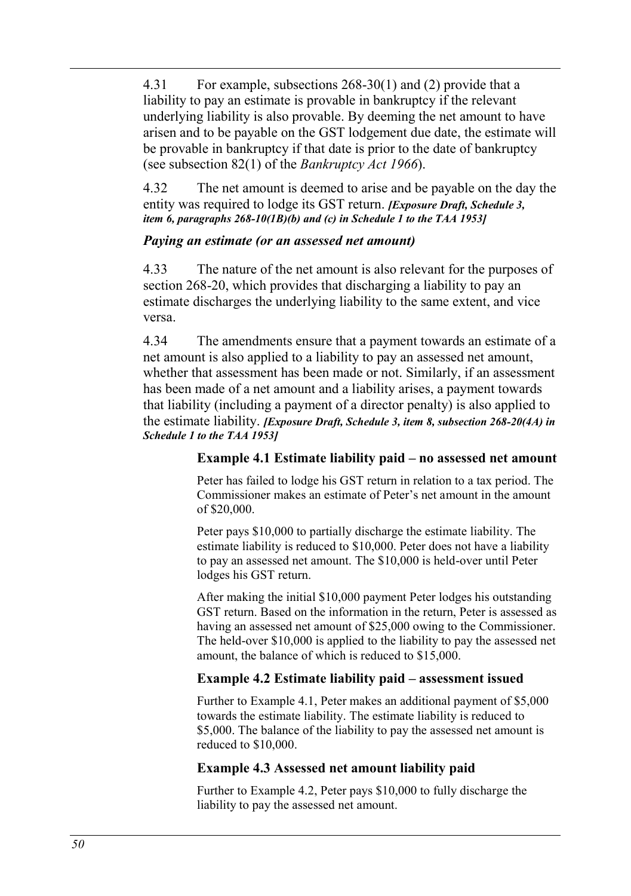4.31 For example, subsections 268-30(1) and (2) provide that a liability to pay an estimate is provable in bankruptcy if the relevant underlying liability is also provable. By deeming the net amount to have arisen and to be payable on the GST lodgement due date, the estimate will be provable in bankruptcy if that date is prior to the date of bankruptcy (see subsection 82(1) of the *Bankruptcy Act 1966*).

4.32 The net amount is deemed to arise and be payable on the day the entity was required to lodge its GST return. *[Exposure Draft, Schedule 3, item 6, paragraphs 268-10(1B)(b) and (c) in Schedule 1 to the TAA 1953]*

#### *Paying an estimate (or an assessed net amount)*

4.33 The nature of the net amount is also relevant for the purposes of section 268-20, which provides that discharging a liability to pay an estimate discharges the underlying liability to the same extent, and vice versa.

4.34 The amendments ensure that a payment towards an estimate of a net amount is also applied to a liability to pay an assessed net amount, whether that assessment has been made or not. Similarly, if an assessment has been made of a net amount and a liability arises, a payment towards that liability (including a payment of a director penalty) is also applied to the estimate liability. *[Exposure Draft, Schedule 3, item 8, subsection 268-20(4A) in Schedule 1 to the TAA 1953]*

### <span id="page-49-0"></span>**Example 4.1 Estimate liability paid – no assessed net amount**

Peter has failed to lodge his GST return in relation to a tax period. The Commissioner makes an estimate of Peter's net amount in the amount of \$20,000.

Peter pays \$10,000 to partially discharge the estimate liability. The estimate liability is reduced to \$10,000. Peter does not have a liability to pay an assessed net amount. The \$10,000 is held-over until Peter lodges his GST return.

After making the initial \$10,000 payment Peter lodges his outstanding GST return. Based on the information in the return, Peter is assessed as having an assessed net amount of \$25,000 owing to the Commissioner. The held-over \$10,000 is applied to the liability to pay the assessed net amount, the balance of which is reduced to \$15,000.

### <span id="page-49-1"></span>**Example 4.2 Estimate liability paid – assessment issued**

Further to [Example 4.1,](#page-49-0) Peter makes an additional payment of \$5,000 towards the estimate liability. The estimate liability is reduced to \$5,000. The balance of the liability to pay the assessed net amount is reduced to \$10,000.

### **Example 4.3 Assessed net amount liability paid**

Further to [Example 4.2,](#page-49-1) Peter pays \$10,000 to fully discharge the liability to pay the assessed net amount.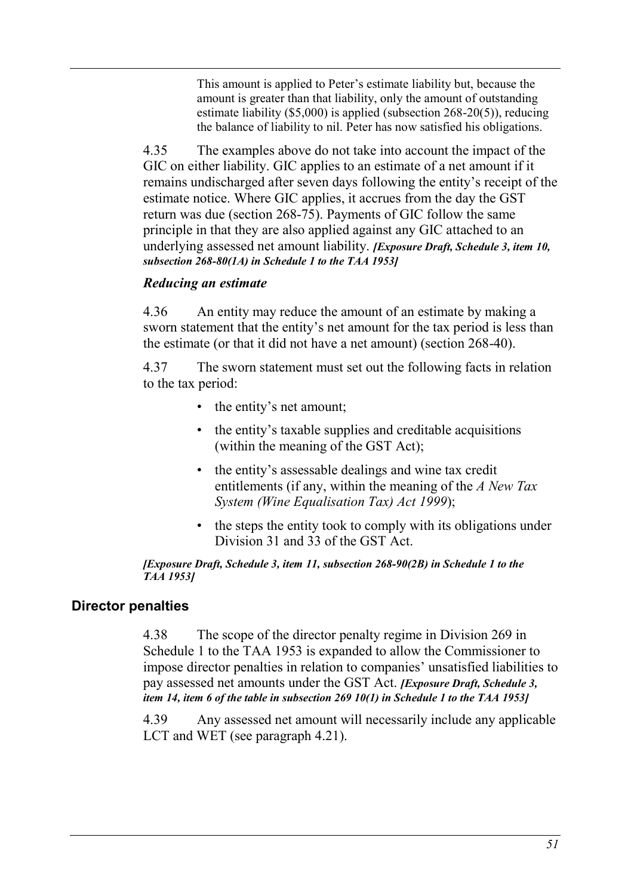This amount is applied to Peter's estimate liability but, because the amount is greater than that liability, only the amount of outstanding estimate liability (\$5,000) is applied (subsection 268-20(5)), reducing the balance of liability to nil. Peter has now satisfied his obligations.

4.35 The examples above do not take into account the impact of the GIC on either liability. GIC applies to an estimate of a net amount if it remains undischarged after seven days following the entity's receipt of the estimate notice. Where GIC applies, it accrues from the day the GST return was due (section 268-75). Payments of GIC follow the same principle in that they are also applied against any GIC attached to an underlying assessed net amount liability. *[Exposure Draft, Schedule 3, item 10, subsection 268-80(1A) in Schedule 1 to the TAA 1953]*

#### *Reducing an estimate*

4.36 An entity may reduce the amount of an estimate by making a sworn statement that the entity's net amount for the tax period is less than the estimate (or that it did not have a net amount) (section 268-40).

4.37 The sworn statement must set out the following facts in relation to the tax period:

- the entity's net amount;
- the entity's taxable supplies and creditable acquisitions (within the meaning of the GST Act);
- the entity's assessable dealings and wine tax credit entitlements (if any, within the meaning of the *A New Tax System (Wine Equalisation Tax) Act 1999*);
- the steps the entity took to comply with its obligations under Division 31 and 33 of the GST Act.

#### *[Exposure Draft, Schedule 3, item 11, subsection 268-90(2B) in Schedule 1 to the TAA 1953]*

### **Director penalties**

4.38 The scope of the director penalty regime in Division 269 in Schedule 1 to the TAA 1953 is expanded to allow the Commissioner to impose director penalties in relation to companies' unsatisfied liabilities to pay assessed net amounts under the GST Act. *[Exposure Draft, Schedule 3, item 14, item 6 of the table in subsection 269 10(1) in Schedule 1 to the TAA 1953]*

4.39 Any assessed net amount will necessarily include any applicable LCT and WET (see paragraph [4.21\)](#page-47-0).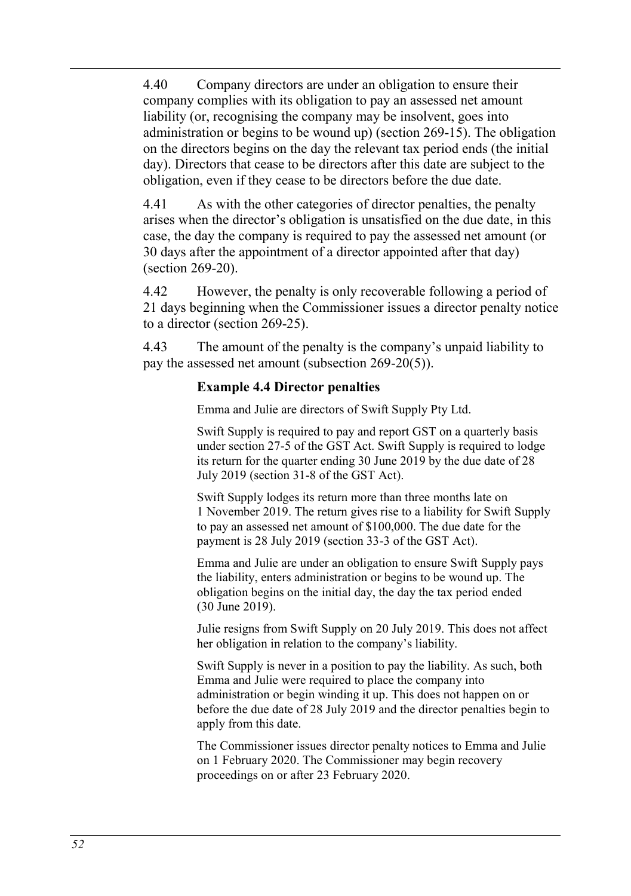4.40 Company directors are under an obligation to ensure their company complies with its obligation to pay an assessed net amount liability (or, recognising the company may be insolvent, goes into administration or begins to be wound up) (section 269-15). The obligation on the directors begins on the day the relevant tax period ends (the initial day). Directors that cease to be directors after this date are subject to the obligation, even if they cease to be directors before the due date.

4.41 As with the other categories of director penalties, the penalty arises when the director's obligation is unsatisfied on the due date, in this case, the day the company is required to pay the assessed net amount (or 30 days after the appointment of a director appointed after that day) (section 269-20).

4.42 However, the penalty is only recoverable following a period of 21 days beginning when the Commissioner issues a director penalty notice to a director (section 269-25).

4.43 The amount of the penalty is the company's unpaid liability to pay the assessed net amount (subsection 269-20(5)).

### <span id="page-51-0"></span>**Example 4.4 Director penalties**

Emma and Julie are directors of Swift Supply Pty Ltd.

Swift Supply is required to pay and report GST on a quarterly basis under section 27-5 of the GST Act. Swift Supply is required to lodge its return for the quarter ending 30 June 2019 by the due date of 28 July 2019 (section 31-8 of the GST Act).

Swift Supply lodges its return more than three months late on 1 November 2019. The return gives rise to a liability for Swift Supply to pay an assessed net amount of \$100,000. The due date for the payment is 28 July 2019 (section 33-3 of the GST Act).

Emma and Julie are under an obligation to ensure Swift Supply pays the liability, enters administration or begins to be wound up. The obligation begins on the initial day, the day the tax period ended (30 June 2019).

Julie resigns from Swift Supply on 20 July 2019. This does not affect her obligation in relation to the company's liability.

Swift Supply is never in a position to pay the liability. As such, both Emma and Julie were required to place the company into administration or begin winding it up. This does not happen on or before the due date of 28 July 2019 and the director penalties begin to apply from this date.

The Commissioner issues director penalty notices to Emma and Julie on 1 February 2020. The Commissioner may begin recovery proceedings on or after 23 February 2020.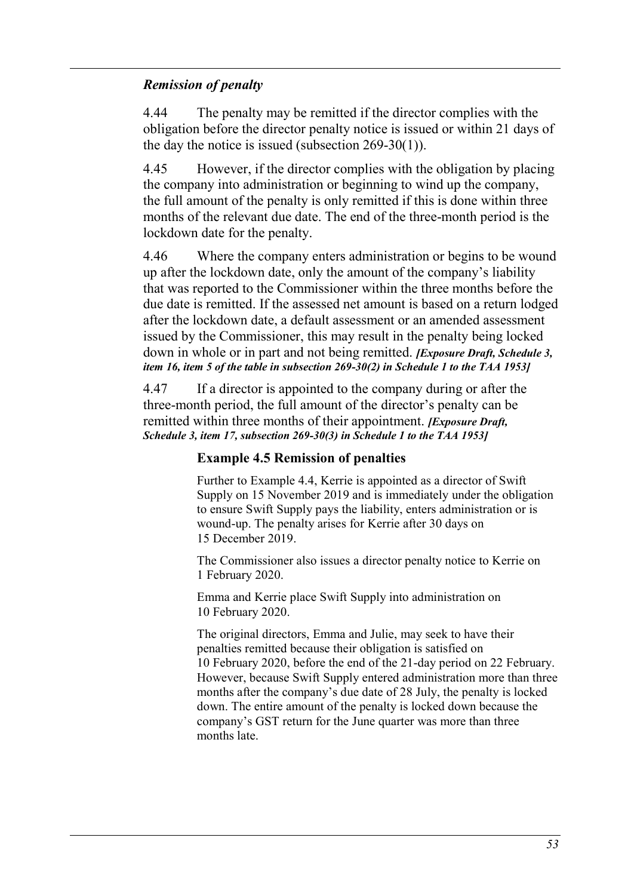#### *Remission of penalty*

4.44 The penalty may be remitted if the director complies with the obligation before the director penalty notice is issued or within 21 days of the day the notice is issued (subsection 269-30(1)).

4.45 However, if the director complies with the obligation by placing the company into administration or beginning to wind up the company, the full amount of the penalty is only remitted if this is done within three months of the relevant due date. The end of the three-month period is the lockdown date for the penalty.

4.46 Where the company enters administration or begins to be wound up after the lockdown date, only the amount of the company's liability that was reported to the Commissioner within the three months before the due date is remitted. If the assessed net amount is based on a return lodged after the lockdown date, a default assessment or an amended assessment issued by the Commissioner, this may result in the penalty being locked down in whole or in part and not being remitted. *[Exposure Draft, Schedule 3, item 16, item 5 of the table in subsection 269-30(2) in Schedule 1 to the TAA 1953]*

4.47 If a director is appointed to the company during or after the three-month period, the full amount of the director's penalty can be remitted within three months of their appointment. *[Exposure Draft, Schedule 3, item 17, subsection 269-30(3) in Schedule 1 to the TAA 1953]*

#### **Example 4.5 Remission of penalties**

Further to [Example 4.4,](#page-51-0) Kerrie is appointed as a director of Swift Supply on 15 November 2019 and is immediately under the obligation to ensure Swift Supply pays the liability, enters administration or is wound-up. The penalty arises for Kerrie after 30 days on 15 December 2019.

The Commissioner also issues a director penalty notice to Kerrie on 1 February 2020.

Emma and Kerrie place Swift Supply into administration on 10 February 2020.

The original directors, Emma and Julie, may seek to have their penalties remitted because their obligation is satisfied on 10 February 2020, before the end of the 21-day period on 22 February. However, because Swift Supply entered administration more than three months after the company's due date of 28 July, the penalty is locked down. The entire amount of the penalty is locked down because the company's GST return for the June quarter was more than three months late.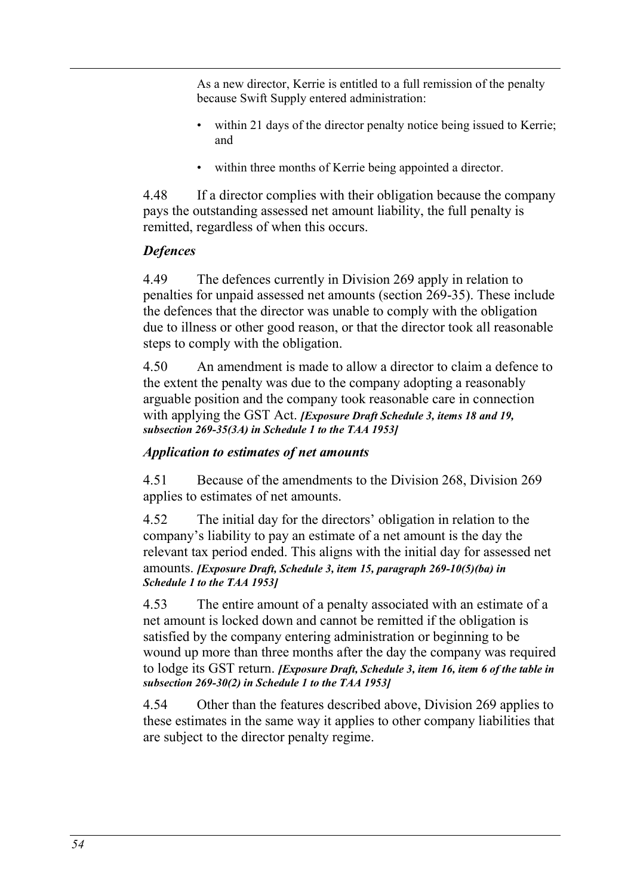As a new director, Kerrie is entitled to a full remission of the penalty because Swift Supply entered administration:

- within 21 days of the director penalty notice being issued to Kerrie; and
- within three months of Kerrie being appointed a director.

4.48 If a director complies with their obligation because the company pays the outstanding assessed net amount liability, the full penalty is remitted, regardless of when this occurs.

### *Defences*

4.49 The defences currently in Division 269 apply in relation to penalties for unpaid assessed net amounts (section 269-35). These include the defences that the director was unable to comply with the obligation due to illness or other good reason, or that the director took all reasonable steps to comply with the obligation.

4.50 An amendment is made to allow a director to claim a defence to the extent the penalty was due to the company adopting a reasonably arguable position and the company took reasonable care in connection with applying the GST Act. *[Exposure Draft Schedule 3, items 18 and 19, subsection 269-35(3A) in Schedule 1 to the TAA 1953]*

### *Application to estimates of net amounts*

4.51 Because of the amendments to the Division 268, Division 269 applies to estimates of net amounts.

4.52 The initial day for the directors' obligation in relation to the company's liability to pay an estimate of a net amount is the day the relevant tax period ended. This aligns with the initial day for assessed net amounts. *[Exposure Draft, Schedule 3, item 15, paragraph 269-10(5)(ba) in Schedule 1 to the TAA 1953]*

4.53 The entire amount of a penalty associated with an estimate of a net amount is locked down and cannot be remitted if the obligation is satisfied by the company entering administration or beginning to be wound up more than three months after the day the company was required to lodge its GST return. *[Exposure Draft, Schedule 3, item 16, item 6 of the table in subsection 269-30(2) in Schedule 1 to the TAA 1953]*

4.54 Other than the features described above, Division 269 applies to these estimates in the same way it applies to other company liabilities that are subject to the director penalty regime.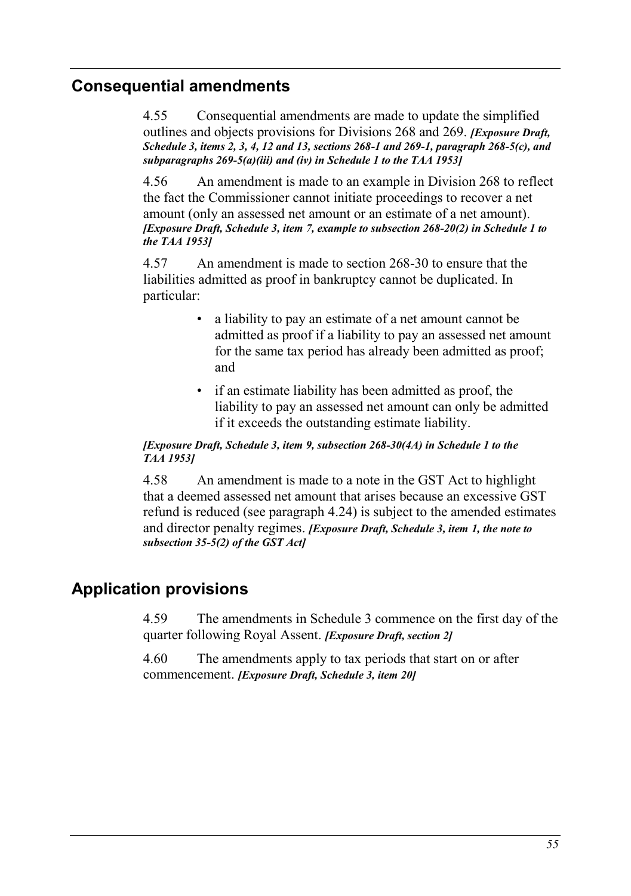### **Consequential amendments**

4.55 Consequential amendments are made to update the simplified outlines and objects provisions for Divisions 268 and 269. *[Exposure Draft, Schedule 3, items 2, 3, 4, 12 and 13, sections 268-1 and 269-1, paragraph 268-5(c), and subparagraphs 269-5(a)(iii) and (iv) in Schedule 1 to the TAA 1953]*

4.56 An amendment is made to an example in Division 268 to reflect the fact the Commissioner cannot initiate proceedings to recover a net amount (only an assessed net amount or an estimate of a net amount). *[Exposure Draft, Schedule 3, item 7, example to subsection 268-20(2) in Schedule 1 to the TAA 1953]*

4.57 An amendment is made to section 268-30 to ensure that the liabilities admitted as proof in bankruptcy cannot be duplicated. In particular:

- a liability to pay an estimate of a net amount cannot be admitted as proof if a liability to pay an assessed net amount for the same tax period has already been admitted as proof; and
- if an estimate liability has been admitted as proof, the liability to pay an assessed net amount can only be admitted if it exceeds the outstanding estimate liability.

#### *[Exposure Draft, Schedule 3, item 9, subsection 268-30(4A) in Schedule 1 to the TAA 1953]*

4.58 An amendment is made to a note in the GST Act to highlight that a deemed assessed net amount that arises because an excessive GST refund is reduced (see paragraph [4.24\)](#page-47-1) is subject to the amended estimates and director penalty regimes. *[Exposure Draft, Schedule 3, item 1, the note to subsection 35-5(2) of the GST Act]*

## **Application provisions**

4.59 The amendments in Schedule 3 commence on the first day of the quarter following Royal Assent. *[Exposure Draft, section 2]*

4.60 The amendments apply to tax periods that start on or after commencement. *[Exposure Draft, Schedule 3, item 20]*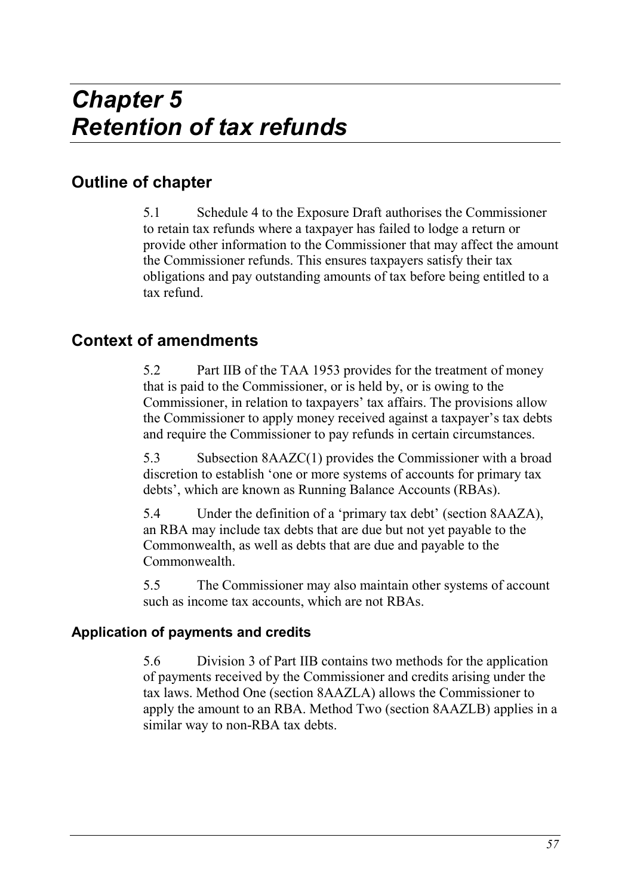# **Outline of chapter**

5.1 Schedule 4 to the Exposure Draft authorises the Commissioner to retain tax refunds where a taxpayer has failed to lodge a return or provide other information to the Commissioner that may affect the amount the Commissioner refunds. This ensures taxpayers satisfy their tax obligations and pay outstanding amounts of tax before being entitled to a tax refund.

# **Context of amendments**

5.2 Part IIB of the TAA 1953 provides for the treatment of money that is paid to the Commissioner, or is held by, or is owing to the Commissioner, in relation to taxpayers' tax affairs. The provisions allow the Commissioner to apply money received against a taxpayer's tax debts and require the Commissioner to pay refunds in certain circumstances.

5.3 Subsection 8AAZC(1) provides the Commissioner with a broad discretion to establish 'one or more systems of accounts for primary tax debts', which are known as Running Balance Accounts (RBAs).

5.4 Under the definition of a 'primary tax debt' (section 8AAZA), an RBA may include tax debts that are due but not yet payable to the Commonwealth, as well as debts that are due and payable to the **Commonwealth** 

5.5 The Commissioner may also maintain other systems of account such as income tax accounts, which are not RBAs.

### **Application of payments and credits**

5.6 Division 3 of Part IIB contains two methods for the application of payments received by the Commissioner and credits arising under the tax laws. Method One (section 8AAZLA) allows the Commissioner to apply the amount to an RBA. Method Two (section 8AAZLB) applies in a similar way to non-RBA tax debts.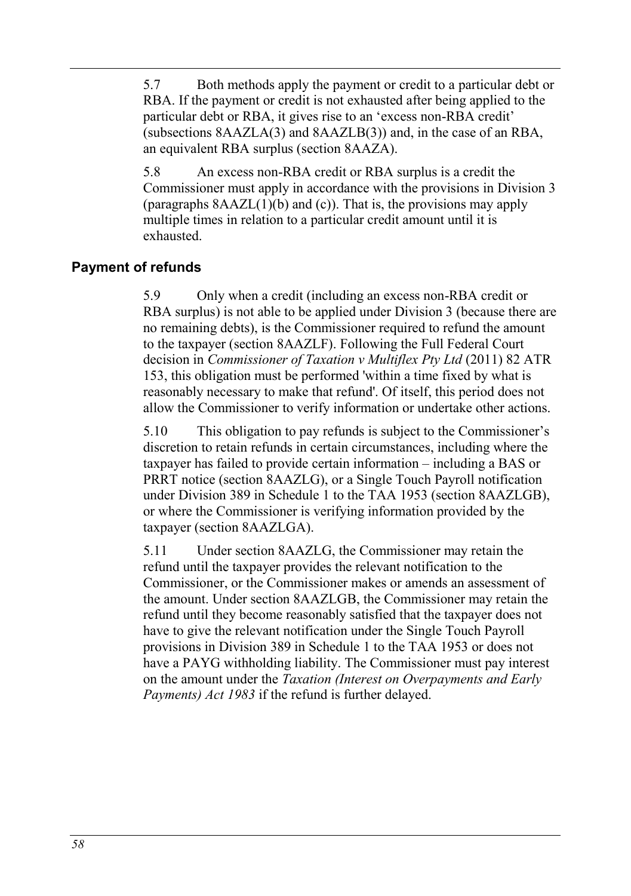5.7 Both methods apply the payment or credit to a particular debt or RBA. If the payment or credit is not exhausted after being applied to the particular debt or RBA, it gives rise to an 'excess non-RBA credit' (subsections 8AAZLA(3) and 8AAZLB(3)) and, in the case of an RBA, an equivalent RBA surplus (section 8AAZA).

5.8 An excess non-RBA credit or RBA surplus is a credit the Commissioner must apply in accordance with the provisions in Division 3 (paragraphs  $8AAZL(1)(b)$  and (c)). That is, the provisions may apply multiple times in relation to a particular credit amount until it is exhausted.

### **Payment of refunds**

5.9 Only when a credit (including an excess non-RBA credit or RBA surplus) is not able to be applied under Division 3 (because there are no remaining debts), is the Commissioner required to refund the amount to the taxpayer (section 8AAZLF). Following the Full Federal Court decision in *Commissioner of Taxation v Multiflex Pty Ltd* (2011) 82 ATR 153, this obligation must be performed 'within a time fixed by what is reasonably necessary to make that refund'. Of itself, this period does not allow the Commissioner to verify information or undertake other actions.

5.10 This obligation to pay refunds is subject to the Commissioner's discretion to retain refunds in certain circumstances, including where the taxpayer has failed to provide certain information – including a BAS or PRRT notice (section 8AAZLG), or a Single Touch Payroll notification under Division 389 in Schedule 1 to the TAA 1953 (section 8AAZLGB), or where the Commissioner is verifying information provided by the taxpayer (section 8AAZLGA).

5.11 Under section 8AAZLG, the Commissioner may retain the refund until the taxpayer provides the relevant notification to the Commissioner, or the Commissioner makes or amends an assessment of the amount. Under section 8AAZLGB, the Commissioner may retain the refund until they become reasonably satisfied that the taxpayer does not have to give the relevant notification under the Single Touch Payroll provisions in Division 389 in Schedule 1 to the TAA 1953 or does not have a PAYG withholding liability. The Commissioner must pay interest on the amount under the *Taxation (Interest on Overpayments and Early Payments) Act 1983* if the refund is further delayed.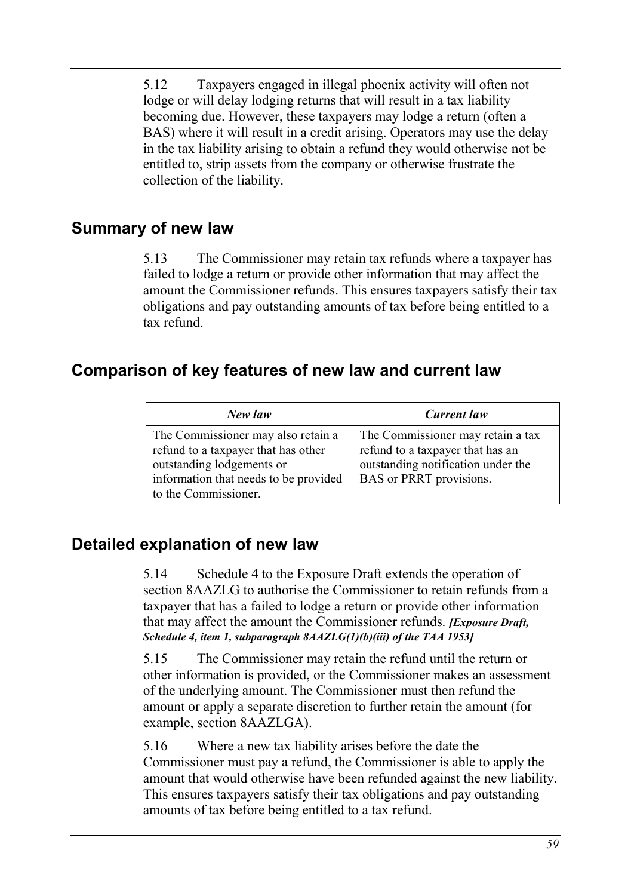5.12 Taxpayers engaged in illegal phoenix activity will often not lodge or will delay lodging returns that will result in a tax liability becoming due. However, these taxpayers may lodge a return (often a BAS) where it will result in a credit arising. Operators may use the delay in the tax liability arising to obtain a refund they would otherwise not be entitled to, strip assets from the company or otherwise frustrate the collection of the liability.

### **Summary of new law**

5.13 The Commissioner may retain tax refunds where a taxpayer has failed to lodge a return or provide other information that may affect the amount the Commissioner refunds. This ensures taxpayers satisfy their tax obligations and pay outstanding amounts of tax before being entitled to a tax refund.

# **Comparison of key features of new law and current law**

| New law                                                                                                                                                                 | Current law                                                                                                                            |
|-------------------------------------------------------------------------------------------------------------------------------------------------------------------------|----------------------------------------------------------------------------------------------------------------------------------------|
| The Commissioner may also retain a<br>refund to a taxpayer that has other<br>outstanding lodgements or<br>information that needs to be provided<br>to the Commissioner. | The Commissioner may retain a tax<br>refund to a taxpayer that has an<br>outstanding notification under the<br>BAS or PRRT provisions. |

## **Detailed explanation of new law**

5.14 Schedule 4 to the Exposure Draft extends the operation of section 8AAZLG to authorise the Commissioner to retain refunds from a taxpayer that has a failed to lodge a return or provide other information that may affect the amount the Commissioner refunds. *[Exposure Draft, Schedule 4, item 1, subparagraph 8AAZLG(1)(b)(iii) of the TAA 1953]*

5.15 The Commissioner may retain the refund until the return or other information is provided, or the Commissioner makes an assessment of the underlying amount. The Commissioner must then refund the amount or apply a separate discretion to further retain the amount (for example, section 8AAZLGA).

5.16 Where a new tax liability arises before the date the Commissioner must pay a refund, the Commissioner is able to apply the amount that would otherwise have been refunded against the new liability. This ensures taxpayers satisfy their tax obligations and pay outstanding amounts of tax before being entitled to a tax refund.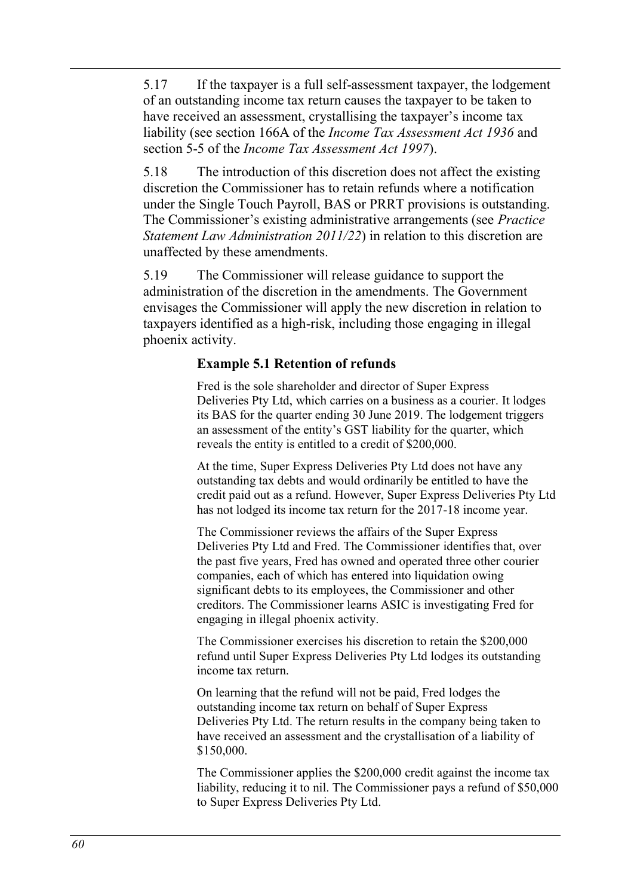5.17 If the taxpayer is a full self-assessment taxpayer, the lodgement of an outstanding income tax return causes the taxpayer to be taken to have received an assessment, crystallising the taxpayer's income tax liability (see section 166A of the *Income Tax Assessment Act 1936* and section 5-5 of the *Income Tax Assessment Act 1997*).

5.18 The introduction of this discretion does not affect the existing discretion the Commissioner has to retain refunds where a notification under the Single Touch Payroll, BAS or PRRT provisions is outstanding. The Commissioner's existing administrative arrangements (see *Practice Statement Law Administration 2011/22*) in relation to this discretion are unaffected by these amendments.

5.19 The Commissioner will release guidance to support the administration of the discretion in the amendments. The Government envisages the Commissioner will apply the new discretion in relation to taxpayers identified as a high-risk, including those engaging in illegal phoenix activity.

#### **Example 5.1 Retention of refunds**

Fred is the sole shareholder and director of Super Express Deliveries Pty Ltd, which carries on a business as a courier. It lodges its BAS for the quarter ending 30 June 2019. The lodgement triggers an assessment of the entity's GST liability for the quarter, which reveals the entity is entitled to a credit of \$200,000.

At the time, Super Express Deliveries Pty Ltd does not have any outstanding tax debts and would ordinarily be entitled to have the credit paid out as a refund. However, Super Express Deliveries Pty Ltd has not lodged its income tax return for the 2017-18 income year.

The Commissioner reviews the affairs of the Super Express Deliveries Pty Ltd and Fred. The Commissioner identifies that, over the past five years, Fred has owned and operated three other courier companies, each of which has entered into liquidation owing significant debts to its employees, the Commissioner and other creditors. The Commissioner learns ASIC is investigating Fred for engaging in illegal phoenix activity.

The Commissioner exercises his discretion to retain the \$200,000 refund until Super Express Deliveries Pty Ltd lodges its outstanding income tax return.

On learning that the refund will not be paid, Fred lodges the outstanding income tax return on behalf of Super Express Deliveries Pty Ltd. The return results in the company being taken to have received an assessment and the crystallisation of a liability of \$150,000.

The Commissioner applies the \$200,000 credit against the income tax liability, reducing it to nil. The Commissioner pays a refund of \$50,000 to Super Express Deliveries Pty Ltd.